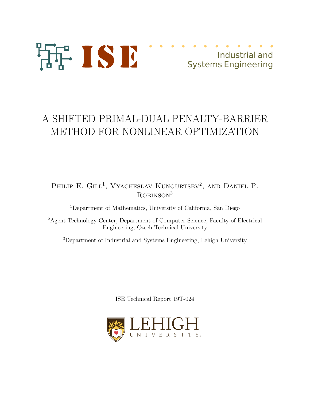

# A SHIFTED PRIMAL-DUAL PENALTY-BARRIER METHOD FOR NONLINEAR OPTIMIZATION

# PHILIP E. GILL<sup>1</sup>, Vyacheslav Kungurtsev<sup>2</sup>, and Daniel P.  $R$ OBINSON $3$

<sup>1</sup>Department of Mathematics, University of California, San Diego

<sup>2</sup>Agent Technology Center, Department of Computer Science, Faculty of Electrical Engineering, Czech Technical University

<sup>3</sup>Department of Industrial and Systems Engineering, Lehigh University

ISE Technical Report 19T-024

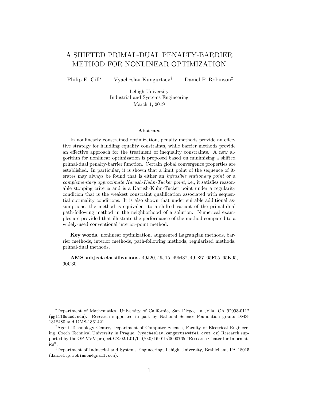# A SHIFTED PRIMAL-DUAL PENALTY-BARRIER METHOD FOR NONLINEAR OPTIMIZATION

Philip E. Gill<sup>∗</sup> Vyacheslav Kungurtsev<sup>†</sup> Daniel P. Robinson<sup>‡</sup>

Lehigh University Industrial and Systems Engineering March 1, 2019

#### Abstract

In nonlinearly constrained optimization, penalty methods provide an effective strategy for handling equality constraints, while barrier methods provide an effective approach for the treatment of inequality constraints. A new algorithm for nonlinear optimization is proposed based on minimizing a shifted primal-dual penalty-barrier function. Certain global convergence properties are established. In particular, it is shown that a limit point of the sequence of iterates may always be found that is either an *infeasible stationary point* or a complementary approximate Karush-Kuhn-Tucker point, i.e., it satisfies reasonable stopping criteria and is a Karush-Kuhn-Tucker point under a regularity condition that is the weakest constraint qualification associated with sequential optimality conditions. It is also shown that under suitable additional assumptions, the method is equivalent to a shifted variant of the primal-dual path-following method in the neighborhood of a solution. Numerical examples are provided that illustrate the performance of the method compared to a widely-used conventional interior-point method.

Key words. nonlinear optimization, augmented Lagrangian methods, barrier methods, interior methods, path-following methods, regularized methods, primal-dual methods.

AMS subject classifications. 49J20, 49J15, 49M37, 49D37, 65F05, 65K05, 90C30

<sup>∗</sup>Department of Mathematics, University of California, San Diego, La Jolla, CA 92093-0112 (pgill@ucsd.edu). Research supported in part by National Science Foundation grants DMS-1318480 and DMS-1361421.

<sup>†</sup>Agent Technology Center, Department of Computer Science, Faculty of Electrical Engineering, Czech Technical University in Prague. (vyacheslav.kungurtsev@fel.cvut.cz) Research supported by the OP VVV project CZ.02.1.01/0.0/0.0/16 019/0000765 "Research Center for Informatics".

<sup>‡</sup>Department of Industrial and Systems Engineering, Lehigh University, Bethlehem, PA 18015 (daniel.p.robinson@gmail.com).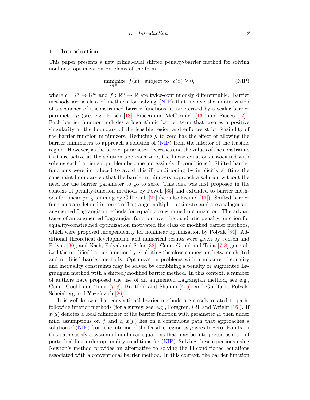# <span id="page-2-1"></span><span id="page-2-0"></span>1. Introduction

This paper presents a new primal-dual shifted penalty-barrier method for solving nonlinear optimization problems of the form

$$
\underset{x \in \mathbb{R}^n}{\text{minimize}} \ f(x) \quad \text{subject to} \quad c(x) \ge 0,\tag{NIP}
$$

where  $c: \mathbb{R}^n \to \mathbb{R}^m$  and  $f: \mathbb{R}^n \to \mathbb{R}$  are twice-continuously differentiable. Barrier methods are a class of methods for solving [\(NIP\)](#page-2-0) that involve the minimization of a sequence of unconstrained barrier functions parameterized by a scalar barrier parameter  $\mu$  (see, e.g., Frisch [\[18\]](#page-35-0), Fiacco and McCormick [\[13\]](#page-35-1), and Fiacco [\[12\]](#page-35-2)). Each barrier function includes a logarithmic barrier term that creates a positive singularity at the boundary of the feasible region and enforces strict feasibility of the barrier function minimizers. Reducing  $\mu$  to zero has the effect of allowing the barrier minimizers to approach a solution of [\(NIP\)](#page-2-0) from the interior of the feasible region. However, as the barrier parameter decreases and the values of the constraints that are active at the solution approach zero, the linear equations associated with solving each barrier subproblem become increasingly ill-conditioned. Shifted barrier functions were introduced to avoid this ill-conditioning by implicitly shifting the constraint boundary so that the barrier minimizers approach a solution without the need for the barrier parameter to go to zero. This idea was first proposed in the context of penalty-function methods by Powell [\[35\]](#page-36-0) and extended to barrier methods for linear programming by Gill et al. [\[22\]](#page-35-3) (see also Freund [\[17\]](#page-35-4)). Shifted barrier functions are defined in terms of Lagrange multiplier estimates and are analogous to augmented Lagrangian methods for equality constrained optimization. The advantages of an augmented Lagrangian function over the quadratic penalty function for equality-constrained optimization motivated the class of modified barrier methods, which were proposed independently for nonlinear optimization by Polyak [\[34\]](#page-36-1). Additional theoretical developments and numerical results were given by Jensen and Polyak [\[30\]](#page-35-5), and Nash, Polyak and Sofer [\[32\]](#page-35-6). Conn, Gould and Toint [\[7,](#page-34-0)[8\]](#page-34-1) generalized the modified barrier function by exploiting the close connection between shifted and modified barrier methods. Optimization problems with a mixture of equality and inequality constraints may be solved by combining a penalty or augmented Lagrangian method with a shifted/modified barrier method. In this context, a number of authors have proposed the use of an augmented Lagrangian method, see e.g., Conn, Gould and Toint [\[7,](#page-34-0) [8\]](#page-34-1), Breitfeld and Shanno [\[4,](#page-34-2) [5\]](#page-34-3), and Goldfarb, Polyak, Scheinberg and Yuzefovich [\[26\]](#page-35-7).

It is well-known that conventional barrier methods are closely related to pathfollowing interior methods (for a survey, see, e.g., Forsgren, Gill and Wright  $[16]$ ). If  $x(\mu)$  denotes a local minimizer of the barrier function with parameter  $\mu$ , then under mild assumptions on f and c,  $x(\mu)$  lies on a continuous path that approaches a solution of [\(NIP\)](#page-2-0) from the interior of the feasible region as  $\mu$  goes to zero. Points on this path satisfy a system of nonlinear equations that may be interpreted as a set of perturbed first-order optimality conditions for [\(NIP\)](#page-2-0). Solving these equations using Newton's method provides an alternative to solving the ill-conditioned equations associated with a conventional barrier method. In this context, the barrier function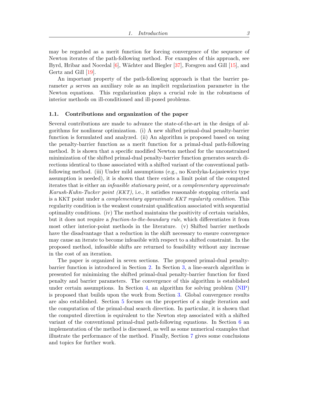<span id="page-3-0"></span>may be regarded as a merit function for forcing convergence of the sequence of Newton iterates of the path-following method. For examples of this approach, see Byrd, Hribar and Nocedal [\[6\]](#page-34-4), Wächter and Biegler [\[37\]](#page-36-2), Forsgren and Gill [\[15\]](#page-35-9), and Gertz and Gill [\[19\]](#page-35-10).

An important property of the path-following approach is that the barrier parameter  $\mu$  serves an auxiliary role as an implicit regularization parameter in the Newton equations. This regularization plays a crucial role in the robustness of interior methods on ill-conditioned and ill-posed problems.

#### 1.1. Contributions and organization of the paper

Several contributions are made to advance the state-of-the-art in the design of algorithms for nonlinear optimization. (i) A new shifted primal-dual penalty-barrier function is formulated and analyzed. (ii) An algorithm is proposed based on using the penalty-barrier function as a merit function for a primal-dual path-following method. It is shown that a specific modified Newton method for the unconstrained minimization of the shifted primal-dual penalty-barrier function generates search directions identical to those associated with a shifted variant of the conventional pathfollowing method. (iii) Under mild assumptions (e.g., no Kurdyka- Lojasiewicz type assumption is needed), it is shown that there exists a limit point of the computed iterates that is either an infeasible stationary point, or a complementary approximate Karush-Kuhn-Tucker point (KKT), i.e., it satisfies reasonable stopping criteria and is a KKT point under a complementary approximate KKT regularity condition. This regularity condition is the weakest constraint qualification associated with sequential optimality conditions. (iv) The method maintains the positivity of certain variables, but it does not require a fraction-to-the-boundary rule, which differentiates it from most other interior-point methods in the literature. (v) Shifted barrier methods have the disadvantage that a reduction in the shift necessary to ensure convergence may cause an iterate to become infeasible with respect to a shifted constraint. In the proposed method, infeasible shifts are returned to feasibility without any increase in the cost of an iteration.

The paper is organized in seven sections. The proposed primal-dual penaltybarrier function is introduced in Section [2.](#page-4-0) In Section [3,](#page-6-0) a line-search algorithm is presented for minimizing the shifted primal-dual penalty-barrier function for fixed penalty and barrier parameters. The convergence of this algorithm is established under certain assumptions. In Section [4,](#page-13-0) an algorithm for solving problem [\(NIP\)](#page-2-0) is proposed that builds upon the work from Section [3.](#page-6-0) Global convergence results are also established. Section [5](#page-21-0) focuses on the properties of a single iteration and the computation of the primal-dual search direction. In particular, it is shown that the computed direction is equivalent to the Newton step associated with a shifted variant of the conventional primal-dual path-following equations. In Section [6](#page-27-0) an implementation of the method is discussed, as well as some numerical examples that illustrate the performance of the method. Finally, Section [7](#page-34-5) gives some conclusions and topics for further work.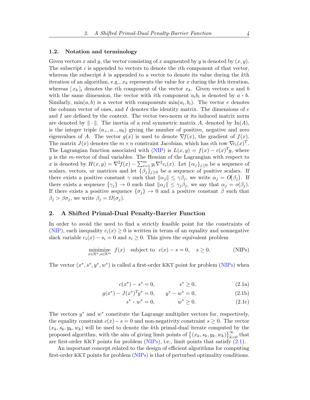### 1.2. Notation and terminology

Given vectors x and y, the vector consisting of x augmented by y is denoted by  $(x, y)$ . The subscript  $i$  is appended to vectors to denote the *i*th component of that vector, whereas the subscript  $k$  is appended to a vector to denote its value during the  $k$ th iteration of an algorithm, e.g.,  $x_k$  represents the value for x during the kth iteration, whereas  $[x_k]_i$  denotes the *i*th component of the vector  $x_k$ . Given vectors a and b with the same dimension, the vector with *i*th component  $a_i b_i$  is denoted by  $a \cdot b$ . Similarly,  $min(a, b)$  is a vector with components  $min(a_i, b_i)$ . The vector e denotes the column vector of ones, and I denotes the identity matrix. The dimensions of  $e$ and I are defined by the context. The vector two-norm or its induced matrix norm are denoted by  $\|\cdot\|$ . The inertia of a real symmetric matrix A, denoted by In(A), is the integer triple  $(a_+, a_-, a_0)$  giving the number of positive, negative and zero eigenvalues of A. The vector  $g(x)$  is used to denote  $\nabla f(x)$ , the gradient of  $f(x)$ . The matrix  $J(x)$  denotes the  $m \times n$  constraint Jacobian, which has *i*th row  $\nabla c_i(x)^T$ . The Lagrangian function associated with [\(NIP\)](#page-2-0) is  $L(x, y) = f(x) - c(x)^T y$ , where  $y$  is the m-vector of dual variables. The Hessian of the Lagrangian with respect to x is denoted by  $H(x,y) = \nabla^2 f(x) - \sum_{i=1}^m y_i \nabla^2 c_i(x)$ . Let  $\{\alpha_j\}_{j\geq 0}$  be a sequence of scalars, vectors, or matrices and let  $\{\beta_j\}_{j\geq 0}$  be a sequence of positive scalars. If there exists a positive constant  $\gamma$  such that  $\|\alpha_j\| \leq \gamma\beta_j$ , we write  $\alpha_j = O(\beta_j)$ . If there exists a sequence  $\{\gamma_j\} \to 0$  such that  $\|\alpha_j\| \leq \gamma_j \beta_j$ , we say that  $\alpha_j = o(\beta_j)$ . If there exists a positive sequence  $\{\sigma_i\} \to 0$  and a positive constant  $\beta$  such that  $\beta_j > \beta \sigma_j$ , we write  $\beta_j = \Omega(\sigma_j)$ .

# <span id="page-4-0"></span>2. A Shifted Primal-Dual Penalty-Barrier Function

In order to avoid the need to find a strictly feasible point for the constraints of [\(NIP\)](#page-2-0), each inequality  $c_i(x) \geq 0$  is written in terms of an equality and nonnegative slack variable  $c_i(x) - s_i = 0$  and  $s_i \geq 0$ . This gives the equivalent problem

$$
\underset{x \in \mathbb{R}^n, s \in \mathbb{R}^m}{\text{minimize}} \quad f(x) \quad \text{subject to} \quad c(x) - s = 0, \quad s \ge 0. \tag{NIPS}
$$

<span id="page-4-1"></span>The vector  $(x^*, s^*, y^*, w^*)$  is called a first-order KKT point for problem [\(NIPs\)](#page-4-0) when

$$
c(x^*) - s^* = 0, \t s^* \ge 0,
$$
\t(2.1a)

$$
g(x^*) - J(x^*)^T y^* = 0, \qquad y^* - w^* = 0,
$$
\n(2.1b)

$$
s^* \cdot w^* = 0, \qquad w^* \ge 0. \tag{2.1c}
$$

The vectors  $y^*$  and  $w^*$  constitute the Lagrange multiplier vectors for, respectively, the equality constraint  $c(x)-s=0$  and non-negativity constraint  $s \geq 0$ . The vector  $(x_k, s_k, y_k, w_k)$  will be used to denote the kth primal-dual iterate computed by the proposed algorithm, with the aim of giving limit points of  $\{(x_k, s_k, y_k, w_k)\}_{k=0}^{\infty}$  that are first-order KKT points for problem  $(NIPs)$ , i.e., limit points that satisfy  $(2.1)$ .

An important concept related to the design of efficient algorithms for computing first-order KKT points for problem [\(NIPs\)](#page-4-0) is that of perturbed optimality conditions.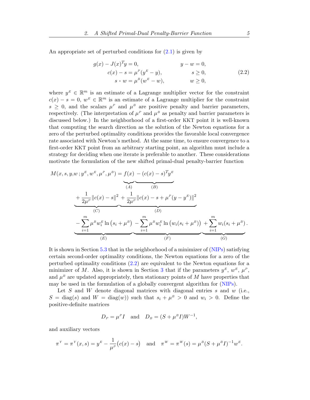An appropriate set of perturbed conditions for  $(2.1)$  is given by

<span id="page-5-0"></span>
$$
g(x) - J(x)^{T}y = 0, \t y - w = 0,c(x) - s = \mu^{P}(y^{E} - y), \t s > w = \mu^{B}(w^{E} - w), \t w \ge 0,
$$
\t(2.2)

where  $y^E \in \mathbb{R}^m$  is an estimate of a Lagrange multiplier vector for the constraint  $c(x) - s = 0$ ,  $w^E \in \mathbb{R}^m$  is an estimate of a Lagrange multiplier for the constraint  $s \geq 0$ , and the scalars  $\mu^P$  and  $\mu^B$  are positive penalty and barrier parameters, respectively. (The interpretation of  $\mu^P$  and  $\mu^B$  as penalty and barrier parameters is discussed below.) In the neighborhood of a first-order KKT point it is well-known that computing the search direction as the solution of the Newton equations for a zero of the perturbed optimality conditions provides the favorable local convergence rate associated with Newton's method. At the same time, to ensure convergence to a first-order KKT point from an arbitrary starting point, an algorithm must include a strategy for deciding when one iterate is preferable to another. These considerations motivate the formulation of the new shifted primal-dual penalty-barrier function

$$
M(x, s, y, w; y^{E}, w^{E}, \mu^{P}, \mu^{B}) = f(x) - (c(x) - s)^{T} y^{E}
$$
  
\n
$$
+ \frac{1}{2\mu^{P}} ||c(x) - s||^{2} + \frac{1}{2\mu^{P}} ||c(x) - s + \mu^{P}(y - y^{E})||^{2}
$$
  
\n(C)  
\n(D)  
\n
$$
- \sum_{i=1}^{m} \mu^{B} w_{i}^{E} \ln (s_{i} + \mu^{B}) - \sum_{i=1}^{m} \mu^{B} w_{i}^{E} \ln (w_{i}(s_{i} + \mu^{B})) + \sum_{i=1}^{m} w_{i}(s_{i} + \mu^{B}).
$$
  
\n(E) (G)

It is shown in Section [5.3](#page-25-0) that in the neighborhood of a minimizer of [\(NIPs\)](#page-4-0) satisfying certain second-order optimality conditions, the Newton equations for a zero of the perturbed optimality conditions [\(2.2\)](#page-5-0) are equivalent to the Newton equations for a minimizer of M. Also, it is shown in Section [3](#page-6-0) that if the parameters  $y^E, w^E, \mu^P$ , and  $\mu^B$  are updated appropriately, then stationary points of M have properties that may be used in the formulation of a globally convergent algorithm for [\(NIPs\)](#page-4-0).

Let S and W denote diagonal matrices with diagonal entries s and  $w$  (i.e.,  $S = \text{diag}(s)$  and  $W = \text{diag}(w)$  such that  $s_i + \mu^B > 0$  and  $w_i > 0$ . Define the positive-definite matrices

$$
D_P = \mu^P I \quad \text{and} \quad D_B = (S + \mu^B I) W^{-1},
$$

and auxiliary vectors

$$
\pi^Y = \pi^Y(x, s) = y^E - \frac{1}{\mu^P} (c(x) - s)
$$
 and  $\pi^W = \pi^W(s) = \mu^B (S + \mu^B I)^{-1} w^E$ .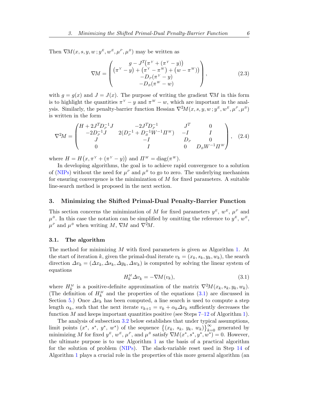Then  $\nabla M(x, s, y, w; y^E, w^E, \mu^P, \mu^B)$  may be written as

<span id="page-6-2"></span>
$$
\nabla M = \begin{pmatrix} g - J^T(\pi^Y + (\pi^Y - y)) \\ (\pi^Y - y) + (\pi^Y - \pi^W) + (w - \pi^W)) \\ -D_P(\pi^Y - y) \\ -D_B(\pi^W - w) \end{pmatrix},
$$
(2.3)

with  $q = q(x)$  and  $J = J(x)$ . The purpose of writing the gradient  $\nabla M$  in this form is to highlight the quantities  $\pi^{Y} - y$  and  $\pi^{W} - w$ , which are important in the analysis. Similarly, the penalty-barrier function Hessian  $\nabla^2 M(x, s, y, w; y^E, w^E, \mu^P, \mu^B)$ is written in the form

<span id="page-6-3"></span>
$$
\nabla^2 M = \begin{pmatrix} H + 2J^T D_P^{-1} J & -2J^T D_P^{-1} & J^T & 0 \\ -2D_P^{-1} J & 2(D_P^{-1} + D_B^{-1} W^{-1} \Pi^W) & -I & I \\ J & -I & D_P & 0 \\ 0 & I & 0 & D_B W^{-1} \Pi^W \end{pmatrix}, (2.4)
$$

where  $H = H(x, \pi^Y + (\pi^Y - y))$  and  $\Pi^W = \text{diag}(\pi^W)$ .

In developing algorithms, the goal is to achieve rapid convergence to a solution of [\(NIPs\)](#page-4-0) without the need for  $\mu^P$  and  $\mu^B$  to go to zero. The underlying mechanism for ensuring convergence is the minimization of  $M$  for fixed parameters. A suitable line-search method is proposed in the next section.

# <span id="page-6-0"></span>3. Minimizing the Shifted Primal-Dual Penalty-Barrier Function

This section concerns the minimization of M for fixed parameters  $y^E, w^E, \mu^P$  and  $\mu^B$ . In this case the notation can be simplified by omitting the reference to  $y^E, w^E$ ,  $\mu^P$  and  $\mu^B$  when writing M,  $\nabla M$  and  $\nabla^2 M$ .

### 3.1. The algorithm

<span id="page-6-1"></span>The method for minimizing M with fixed parameters is given as Algorithm [1.](#page-7-0) At the start of iteration k, given the primal-dual iterate  $v_k = (x_k, s_k, y_k, w_k)$ , the search direction  $\Delta v_k = (\Delta x_k, \Delta s_k, \Delta y_k, \Delta w_k)$  is computed by solving the linear system of equations

$$
H_k^M \Delta v_k = -\nabla M(v_k),\tag{3.1}
$$

where  $H_k^M$  is a positive-definite approximation of the matrix  $\nabla^2 M(x_k, s_k, y_k, w_k)$ . (The definition of  $H_k^M$  and the properties of the equations [\(3.1\)](#page-6-1) are discussed in Section [5.](#page-21-0)) Once  $\Delta v_k$  has been computed, a line search is used to compute a step length  $\alpha_k$ , such that the next iterate  $v_{k+1} = v_k + \alpha_k \Delta v_k$  sufficiently decreases the function M and keeps important quantities positive (see Steps  $7-12$  of Algorithm [1\)](#page-7-0).

The analysis of subsection [3.2](#page-7-1) below establishes that under typical assumptions, limit points  $(x^*, s^*, y^*, w^*)$  of the sequence  $\{(x_k, s_k, y_k, w_k)\}_{k=0}^{\infty}$  generated by minimizing M for fixed  $y^E, w^E, \mu^P$ , and  $\mu^B$  satisfy  $\nabla M(x^*, s^*, y^*, w^*) = 0$ . However, the ultimate purpose is to use Algorithm [1](#page-7-0) as the basis of a practical algorithm for the solution of problem [\(NIPs\)](#page-4-0). The slack-variable reset used in Step [14](#page-7-0) of Algorithm [1](#page-7-0) plays a crucial role in the properties of this more general algorithm (an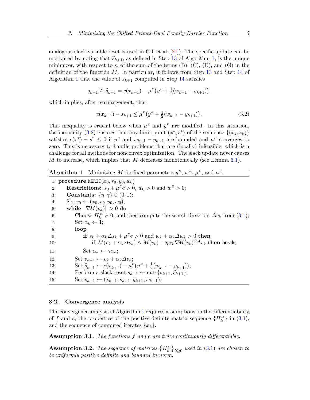<span id="page-7-6"></span>analogous slack-variable reset is used in Gill et al. [\[21\]](#page-35-11)). The specific update can be motivated by noting that  $\hat{s}_{k+1}$ , as defined in Step [13](#page-7-0) of Algorithm [1,](#page-7-0) is the unique minimizer, with respect to s, of the sum of the terms  $(B)$ ,  $(C)$ ,  $(D)$ , and  $(G)$  in the definition of the function  $M$ . In particular, it follows from Step [13](#page-7-0) and Step [14](#page-7-0) of Algorithm [1](#page-7-0) that the value of  $s_{k+1}$  computed in Step [14](#page-7-0) satisfies

$$
s_{k+1} \ge \widehat{s}_{k+1} = c(x_{k+1}) - \mu^P(y^E + \frac{1}{2}(w_{k+1} - y_{k+1})),
$$

which implies, after rearrangement, that

<span id="page-7-2"></span>
$$
c(x_{k+1}) - s_{k+1} \le \mu^P \left( y^E + \frac{1}{2} (w_{k+1} - y_{k+1}) \right). \tag{3.2}
$$

This inequality is crucial below when  $\mu^P$  and  $y^E$  are modified. In this situation, the inequality [\(3.2\)](#page-7-2) ensures that any limit point  $(x^*, s^*)$  of the sequence  $\{(x_k, s_k)\}$ satisfies  $c(x^*) - s^* \leq 0$  if  $y^E$  and  $w_{k+1} - y_{k+1}$  are bounded and  $\mu^P$  converges to zero. This is necessary to handle problems that are (locally) infeasible, which is a challenge for all methods for nonconvex optimization. The slack update never causes  $M$  to increase, which implies that  $M$  decreases monotonically (see Lemma [3.1\)](#page-8-0).

<span id="page-7-0"></span>**Algorithm 1** Minimizing M for fixed parameters  $y^E$ ,  $w^E$ ,  $\mu^P$ , and  $\mu^B$ .

1: procedure MERIT $(x_0, s_0, y_0, w_0)$ 2: **Restrictions:**  $s_0 + \mu^B e > 0$ ,  $w_0 > 0$  and  $w^E > 0$ ; 3: **Constants:**  $\{\eta, \gamma\} \in (0, 1);$ 4: Set  $v_0 \leftarrow (x_0, s_0, y_0, w_0);$ 5: while  $\|\nabla M(v_k)\| > 0$  do 6: Choose  $H_k^M \succ 0$ , and then compute the search direction  $\Delta v_k$  from [\(3.1\)](#page-6-1); 7: Set  $\alpha_k \leftarrow 1$ ; 8: loop 9: **if**  $s_k + \alpha_k \Delta s_k + \mu^B e > 0$  and  $w_k + \alpha_k \Delta w_k > 0$  **then** 10: if  $M(v_k + \alpha_k \Delta v_k) \leq M(v_k) + \eta \alpha_k \nabla M(v_k)^T \Delta v_k$  then break; 11:  $\operatorname{Set} \alpha_k \leftarrow \gamma \alpha_k;$ 12: Set  $v_{k+1} \leftarrow v_k + \alpha_k \Delta v_k$ ; 13: Set  $\hat{s}_{k+1} \leftarrow c(x_{k+1}) - \mu^p (y^p + \frac{1}{2})$  $\frac{1}{2}(w_{k+1} - y_{k+1})$ ; 14: Perform a slack reset  $s_{k+1} \leftarrow \max\{s_{k+1}, \hat{s}_{k+1}\};$ <br>15: Set  $v_{k+1} \leftarrow (x_{k+1}, s_{k+1}, y_{k+1}, w_{k+1});$ Set  $v_{k+1} \leftarrow (x_{k+1}, s_{k+1}, y_{k+1}, w_{k+1});$ 

#### <span id="page-7-1"></span>3.2. Convergence analysis

<span id="page-7-5"></span>The convergence analysis of Algorithm [1](#page-7-0) requires assumptions on the differentiability of f and c, the properties of the positive-definite matrix sequence  $\{H_k^M\}$  in [\(3.1\)](#page-6-1), and the sequence of computed iterates  $\{x_k\}$ .

Assumption 3.1. The functions  $f$  and  $c$  are twice continuously differentiable.

<span id="page-7-4"></span><span id="page-7-3"></span>**Assumption 3.2.** The sequence of matrices  ${H_k^M}_{k\geq0}$  used in [\(3.1\)](#page-6-1) are chosen to be uniformly positive definite and bounded in norm.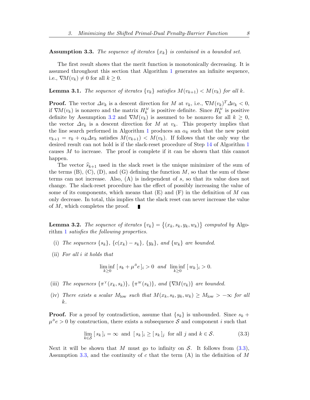**Assumption 3.3.** The sequence of iterates  $\{x_k\}$  is contained in a bounded set.

The first result shows that the merit function is monotonically decreasing. It is assumed throughout this section that Algorithm [1](#page-7-0) generates an infinite sequence, i.e.,  $\nabla M(v_k) \neq 0$  for all  $k \geq 0$ .

<span id="page-8-0"></span>**Lemma 3.1.** The sequence of iterates  $\{v_k\}$  satisfies  $M(v_{k+1}) < M(v_k)$  for all k.

**Proof.** The vector  $\Delta v_k$  is a descent direction for M at  $v_k$ , i.e.,  $\nabla M(v_k)^T \Delta v_k < 0$ , if  $\nabla M(v_k)$  is nonzero and the matrix  $H_k^M$  is positive definite. Since  $H_k^M$  is positive definite by Assumption [3.2](#page-7-3) and  $\nabla M(v_k)$  is assumed to be nonzero for all  $k \geq 0$ , the vector  $\Delta v_k$  is a descent direction for M at  $v_k$ . This property implies that the line search performed in Algorithm [1](#page-7-0) produces an  $\alpha_k$  such that the new point  $v_{k+1} = v_k + \alpha_k \Delta v_k$  satisfies  $M(v_{k+1}) < M(v_k)$ . If follows that the only way the desired result can not hold is if the slack-reset procedure of Step [14](#page-7-0) of Algorithm [1](#page-7-0) causes M to increase. The proof is complete if it can be shown that this cannot happen.

The vector  $\widehat{s}_{k+1}$  used in the slack reset is the unique minimizer of the sum of the terms  $(B)$ ,  $(C)$ ,  $(D)$ , and  $(G)$  defining the function M, so that the sum of these terms can not increase. Also, (A) is independent of s, so that its value does not change. The slack-reset procedure has the effect of possibly increasing the value of some of its components, which means that  $(E)$  and  $(F)$  in the definition of M can only decrease. In total, this implies that the slack reset can never increase the value of M, which completes the proof. П

<span id="page-8-6"></span>**Lemma 3.2.** The sequence of iterates  $\{v_k\} = \{(x_k, s_k, y_k, w_k)\}$  computed by Algorithm [1](#page-7-0) satisfies the following properties.

- <span id="page-8-2"></span>(i) The sequences  $\{s_k\}, \{c(x_k) - s_k\}, \{y_k\}, \text{ and } \{w_k\}$  are bounded.
- <span id="page-8-3"></span>(ii) For all i it holds that

<span id="page-8-1"></span>
$$
\liminf_{k\geq 0} [s_k + \mu^B e]_i > 0 \quad \text{and} \quad \liminf_{k\geq 0} [w_k]_i > 0.
$$

- <span id="page-8-4"></span>(iii) The sequences  $\{\pi^Y(x_k, s_k)\}, \{\pi^W(s_k)\}, \text{ and } \{\nabla M(v_k)\}\$ are bounded.
- <span id="page-8-5"></span>(iv) There exists a scalar  $M_{\text{low}}$  such that  $M(x_k, s_k, y_k, w_k) \geq M_{\text{low}} > -\infty$  for all k.

**Proof.** For a proof by contradiction, assume that  $\{s_k\}$  is unbounded. Since  $s_k$  +  $\mu^B e > 0$  by construction, there exists a subsequence S and component i such that

$$
\lim_{k \in S} [s_k]_i = \infty \text{ and } [s_k]_i \ge [s_k]_j \text{ for all } j \text{ and } k \in S. \tag{3.3}
$$

Next it will be shown that M must go to infinity on  $S$ . It follows from  $(3.3)$ , Assumption [3.3,](#page-7-4) and the continuity of c that the term  $(A)$  in the definition of M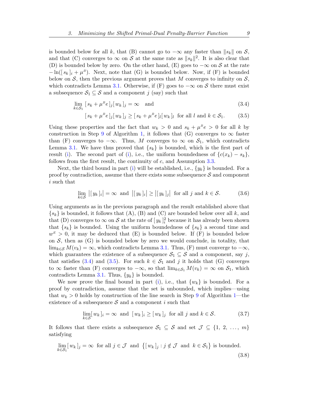is bounded below for all k, that (B) cannot go to  $-\infty$  any faster than  $||s_k||$  on S, and that (C) converges to  $\infty$  on S at the same rate as  $||s_k||^2$ . It is also clear that (D) is bounded below by zero. On the other hand, (E) goes to  $-\infty$  on S at the rate  $-\ln([s_k]_i + \mu^B)$ . Next, note that (G) is bounded below. Now, if (F) is bounded below on S, then the previous argument proves that M converges to infinity on  $S$ , which contradicts Lemma [3.1.](#page-8-0) Otherwise, if  $(F)$  goes to  $-\infty$  on S there must exist a subsequence  $S_1 \subseteq S$  and a component j (say) such that

$$
\lim_{k \in \mathcal{S}_1} \left[ s_k + \mu^B e \right]_j [w_k]_j = \infty \quad \text{and} \tag{3.4}
$$

<span id="page-9-1"></span><span id="page-9-0"></span>
$$
[s_k + \mu^B e]_j[w_k]_j \ge [s_k + \mu^B e]_l[w_k]_l \text{ for all } l \text{ and } k \in S_1.
$$
 (3.5)

Using these properties and the fact that  $w_k > 0$  and  $s_k + \mu^B e > 0$  for all k by construction in Step [9](#page-7-0) of Algorithm [1,](#page-7-0) it follows that (G) converges to  $\infty$  faster than (F) converges to  $-\infty$ . Thus, M converges to  $\infty$  on  $S_1$ , which contradicts Lemma [3.1.](#page-8-0) We have thus proved that  $\{s_k\}$  is bounded, which is the first part of result [\(i\)](#page-8-2). The second part of (i), i.e., the uniform boundedness of  ${c(x_k) - s_k}$ , follows from the first result, the continuity of  $c$ , and Assumption [3.3.](#page-7-4)

Next, the third bound in part [\(i\)](#page-8-2) will be established, i.e.,  $\{y_k\}$  is bounded. For a proof by contradiction, assume that there exists some subsequence  $S$  and component i such that

$$
\lim_{k \in S} \left| [y_k]_i \right| = \infty \text{ and } \left| [y_k]_i \right| \ge \left| [y_k]_j \right| \text{ for all } j \text{ and } k \in S. \tag{3.6}
$$

Using arguments as in the previous paragraph and the result established above that  ${s_k}$  is bounded, it follows that  $(A)$ ,  $(B)$  and  $(C)$  are bounded below over all k, and that (D) converges to  $\infty$  on S at the rate of  $[y_k]_i^2$  because it has already been shown that  $\{s_k\}$  is bounded. Using the uniform boundedness of  $\{s_k\}$  a second time and  $w<sup>E</sup> > 0$ , it may be deduced that (E) is bounded below. If (F) is bounded below on  $S$ , then as  $(G)$  is bounded below by zero we would conclude, in totality, that  $\lim_{k \in \mathcal{S}} M(v_k) = \infty$ , which contradicts Lemma [3.1.](#page-8-0) Thus, (F) must converge to  $-\infty$ , which guarantees the existence of a subsequence  $S_1 \subseteq S$  and a component, say j, that satisfies [\(3.4\)](#page-9-0) and [\(3.5\)](#page-9-1). For such  $k \in S_1$  and j it holds that (G) converges to  $\infty$  faster than (F) converges to  $-\infty$ , so that  $\lim_{k \in S_1} M(v_k) = \infty$  on  $S_1$ , which contradicts Lemma [3.1.](#page-8-0) Thus,  $\{y_k\}$  is bounded.

We now prove the final bound in part [\(i\)](#page-8-2), i.e., that  $\{w_k\}$  is bounded. For a proof by contradiction, assume that the set is unbounded, which implies—using that  $w_k > 0$  holds by construction of the line search in Step [9](#page-7-0) of Algorithm [1—](#page-7-0)the existence of a subsequence  $S$  and a component i such that

<span id="page-9-3"></span><span id="page-9-2"></span>
$$
\lim_{k \in \mathcal{S}} [w_k]_i = \infty \text{ and } [w_k]_i \ge [w_k]_j \text{ for all } j \text{ and } k \in \mathcal{S}.
$$
 (3.7)

It follows that there exists a subsequence  $S_1 \subseteq S$  and set  $\mathcal{J} \subseteq \{1, 2, ..., m\}$ satisfying

$$
\lim_{k \in S_1} [w_k]_j = \infty \text{ for all } j \in \mathcal{J} \text{ and } \{ [w_k]_j : j \notin \mathcal{J} \text{ and } k \in S_1 \} \text{ is bounded.}
$$
\n(3.8)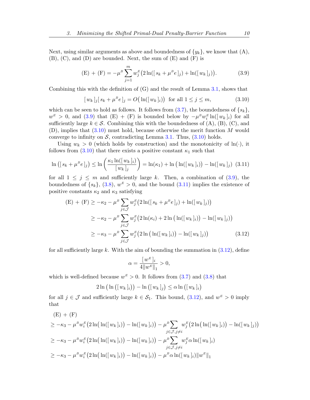Next, using similar arguments as above and boundedness of  $\{y_k\}$ , we know that  $(A)$ , (B), (C), and (D) are bounded. Next, the sum of (E) and (F) is

<span id="page-10-0"></span>(E) + (F) = 
$$
-\mu^B \sum_{j=1}^m w_j^E (2 \ln([s_k + \mu^B e]_j) + \ln([w_k]_j)).
$$
 (3.9)

Combining this with the definition of (G) and the result of Lemma [3.1,](#page-8-0) shows that

<span id="page-10-2"></span><span id="page-10-1"></span>
$$
[w_k]_j[s_k + \mu^B e]_j = O\big(\ln([w_k]_i)\big) \text{ for all } 1 \le j \le m,
$$
 (3.10)

which can be seen to hold as follows. It follows from  $(3.7)$ , the boundedness of  $\{s_k\}$ ,  $w^E > 0$ , and [\(3.9\)](#page-10-0) that (E) + (F) is bounded below by  $-\mu^B w_i^E \ln([w_k]_i)$  for all sufficiently large  $k \in \mathcal{S}$ . Combining this with the boundedness of (A), (B), (C), and  $(D)$ , implies that  $(3.10)$  must hold, because otherwise the merit function M would converge to infinity on  $S$ , contradicting Lemma [3.1.](#page-8-0) Thus,  $(3.10)$  holds.

Using  $w_k > 0$  (which holds by construction) and the monotonicity of  $\ln(\cdot)$ , it follows from  $(3.10)$  that there exists a positive constant  $\kappa_1$  such that

$$
\ln\left(\left[s_k + \mu^B e\right]_j\right) \le \ln\left(\frac{\kappa_1 \ln(\left[w_k\right]_i)}{\left[w_k\right]_j}\right) = \ln(\kappa_1) + \ln\left(\ln(\left[w_k\right]_i)\right) - \ln(\left[w_k\right]_j)\tag{3.11}
$$

for all  $1 \leq j \leq m$  and sufficiently large k. Then, a combination of [\(3.9\)](#page-10-0), the boundedness of  $\{s_k\},\ (3.8),\ w^E > 0$  $\{s_k\},\ (3.8),\ w^E > 0$  $\{s_k\},\ (3.8),\ w^E > 0$ , and the bound  $(3.11)$  implies the existence of positive constants  $\kappa_2$  and  $\kappa_3$  satisfying

$$
\begin{aligned} \text{(E)} + (\text{F}) &\geq -\kappa_2 - \mu^B \sum_{j \in \mathcal{J}} w_j^E \big( 2 \ln( [s_k + \mu^B e]_j) + \ln( [w_k]_j) \big) \\ &\geq -\kappa_2 - \mu^B \sum_{j \in \mathcal{J}} w_j^E \big( 2 \ln(\kappa_i) + 2 \ln \big( \ln( [w_k]_i) \big) - \ln( [w_k]_j) \big) \\ &\geq -\kappa_3 - \mu^B \sum_{j \in \mathcal{J}} w_j^E \big( 2 \ln \big( \ln( [w_k]_i) \big) - \ln( [w_k]_j) \big) \end{aligned} \tag{3.12}
$$

for all sufficiently large k. With the aim of bounding the summation in  $(3.12)$ , define

<span id="page-10-3"></span>
$$
\alpha = \frac{[w^{E}]_{i}}{4||w^{E}||_{1}} > 0,
$$

which is well-defined because  $w^E > 0$ . It follows from  $(3.7)$  and  $(3.8)$  that

$$
2\ln\left(\ln\left(\left[w_k\right]_i\right)\right) - \ln\left(\left[w_k\right]_j\right) \leq \alpha \ln\left(\left[w_k\right]_i\right)
$$

for all  $j \in \mathcal{J}$  and sufficiently large  $k \in \mathcal{S}_1$ . This bound,  $(3.12)$ , and  $w^E > 0$  imply that

$$
\begin{aligned} &\text{(E)} + \text{(F)}\\ &\geq -\kappa_3 - \mu^B w_i^E \big( 2\ln\big(\ln([w_k]_i)\big) - \ln([w_k]_i)\big) - \mu^B \sum_{j \in \mathcal{J}, j \neq i} w_j^E \big( 2\ln\big(\ln([w_k]_i)\big) - \ln([w_k]_j)\big) \\ &\geq -\kappa_3 - \mu^B w_i^E \big( 2\ln\big(\ln([w_k]_i)\big) - \ln([w_k]_i)\big) - \mu^B \sum_{j \in \mathcal{J}, j \neq i} w_j^E \alpha \ln([w_k]_i) \\ &\geq -\kappa_3 - \mu^B w_i^E \big( 2\ln\big(\ln([w_k]_i)\big) - \ln([w_k]_i)\big) - \mu^B \alpha \ln([w_k]_i) \|w^E\|_1 \end{aligned}
$$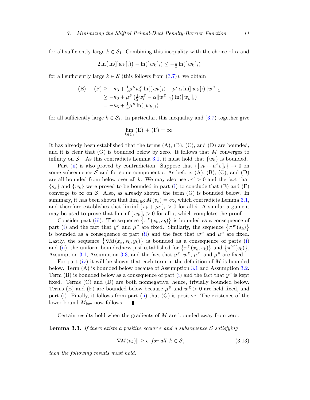for all sufficiently large  $k \in S_1$ . Combining this inequality with the choice of  $\alpha$  and

$$
2\ln(\ln(\lfloor w_k \rfloor_i)) - \ln(\lfloor w_k \rfloor_i) \leq -\frac{1}{2}\ln(\lfloor w_k \rfloor_i)
$$

for all sufficiently large  $k \in S$  (this follows from  $(3.7)$ ), we obtain

$$
\begin{aligned} \text{(E)} + \text{(F)} &\geq -\kappa_3 + \frac{1}{2}\mu^B w_i^E \ln(\{w_k\}_i) - \mu^B \alpha \ln(\{w_k\}_i) \|w^E\|_1 \\ &\geq -\kappa_3 + \mu^B \left(\frac{1}{2} w_i^E - \alpha \|w^E\|_1\right) \ln(\{w_k\}_i) \\ &= -\kappa_3 + \frac{1}{4} \mu^B \ln(\{w_k\}_i) \end{aligned}
$$

for all sufficiently large  $k \in S_1$ . In particular, this inequality and [\(3.7\)](#page-9-2) together give

$$
\lim_{k \in \mathcal{S}_1} (E) + (F) = \infty.
$$

It has already been established that the terms  $(A)$ ,  $(B)$ ,  $(C)$ , and  $(D)$  are bounded, and it is clear that  $(G)$  is bounded below by zero. It follows that M converges to infinity on  $S_1$ . As this contradicts Lemma [3.1,](#page-8-0) it must hold that  $\{w_k\}$  is bounded.

Part [\(ii\)](#page-8-3) is also proved by contradiction. Suppose that  $\{[s_k + \mu^B e]_i\} \to 0$  on some subsequence S and for some component i. As before,  $(A)$ ,  $(B)$ ,  $(C)$ , and  $(D)$ are all bounded from below over all k. We may also use  $w<sup>E</sup> > 0$  and the fact that  $\{s_k\}$  and  $\{w_k\}$  were proved to be bounded in part [\(i\)](#page-8-2) to conclude that (E) and (F) converge to  $\infty$  on S. Also, as already shown, the term (G) is bounded below. In summary, it has been shown that  $\lim_{k \in \mathcal{S}} M(v_k) = \infty$ , which contradicts Lemma [3.1,](#page-8-0) and therefore establishes that  $\liminf [s_k + \mu e]_i > 0$  for all i. A similar argument may be used to prove that  $\liminf [w_k]_i > 0$  for all i, which completes the proof.

Consider part [\(iii\)](#page-8-4). The sequence  $\{\pi^Y(x_k, s_k)\}\$ is bounded as a consequence of part [\(i\)](#page-8-2) and the fact that  $y^E$  and  $\mu^P$  are fixed. Similarly, the sequence  $\{\pi^W(s_k)\}\$ is bounded as a consequence of part [\(ii\)](#page-8-3) and the fact that  $w<sup>E</sup>$  and  $\mu<sup>B</sup>$  are fixed. Lastly, the sequence  $\{\nabla M(x_k, s_k, y_k)\}\$ is bounded as a consequence of parts [\(i\)](#page-8-2) and [\(ii\)](#page-8-3), the uniform boundedness just established for  $\{\pi^Y(x_k, s_k)\}\$  and  $\{\pi^W(s_k)\}\$ , Assumption [3.1,](#page-7-5) Assumption [3.3,](#page-7-4) and the fact that  $y^E$ ,  $w^E$ ,  $\mu^P$ , and  $\mu^B$  are fixed.

For part [\(iv\)](#page-8-5) it will be shown that each term in the definition of  $M$  is bounded below. Term (A) is bounded below because of Assumption [3.1](#page-7-5) and Assumption [3.2.](#page-7-3) Term (B) is bounded below as a consequence of part [\(i\)](#page-8-2) and the fact that  $y<sup>E</sup>$  is kept fixed. Terms (C) and (D) are both nonnegative, hence, trivially bounded below. Terms (E) and (F) are bounded below because  $\mu^B$  and  $w^E > 0$  are held fixed, and part [\(i\)](#page-8-2). Finally, it follows from part [\(ii\)](#page-8-3) that (G) is positive. The existence of the lower bound  $M_{\text{low}}$  now follows. Г

Certain results hold when the gradients of M are bounded away from zero.

<span id="page-11-1"></span>**Lemma 3.3.** If there exists a positive scalar  $\epsilon$  and a subsequence S satisfying

<span id="page-11-0"></span>
$$
\|\nabla M(v_k)\| \ge \epsilon \quad \text{for all} \quad k \in \mathcal{S},\tag{3.13}
$$

then the following results must hold.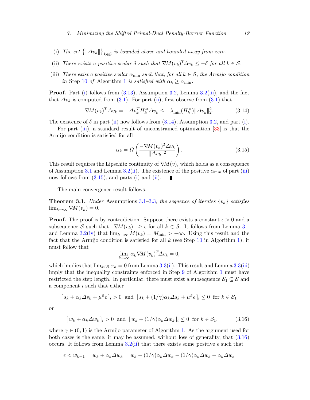- <span id="page-12-7"></span><span id="page-12-0"></span>(i) The set  $\{\Vert \Delta v_k \Vert\}_{k \in \mathcal{S}}$  is bounded above and bounded away from zero.
- <span id="page-12-1"></span>(ii) There exists a positive scalar  $\delta$  such that  $\nabla M(v_k)^T \Delta v_k \leq -\delta$  for all  $k \in \mathcal{S}$ .
- <span id="page-12-3"></span>(iii) There exist a positive scalar  $\alpha_{\min}$  such that, for all  $k \in \mathcal{S}$ , the Armijo condition in Step [10](#page-7-0) of Algorithm [1](#page-7-0) is satisfied with  $\alpha_k \geq \alpha_{\min}$ .

Proof. Part [\(i\)](#page-12-0) follows from [\(3.13\)](#page-11-0), Assumption [3.2,](#page-7-3) Lemma [3.2\(](#page-8-6)[iii\)](#page-8-4), and the fact that  $\Delta v_k$  is computed from [\(3.1\)](#page-6-1). For part [\(ii\)](#page-12-1), first observe from (3.1) that

$$
\nabla M(v_k)^T \Delta v_k = -\Delta v_k^T H_k^M \Delta v_k \le -\lambda_{\min}(H_k^M) \|\Delta v_k\|_2^2. \tag{3.14}
$$

The existence of  $\delta$  in part [\(ii\)](#page-12-1) now follows from [\(3.14\)](#page-12-2), Assumption [3.2,](#page-7-3) and part [\(i\)](#page-12-0).

For part [\(iii\)](#page-12-3), a standard result of unconstrained optimization [\[33\]](#page-36-3) is that the Armijo condition is satisfied for all

<span id="page-12-4"></span><span id="page-12-2"></span>
$$
\alpha_k = \Omega \left( \frac{-\nabla M(v_k)^T \Delta v_k}{\|\Delta v_k\|^2} \right). \tag{3.15}
$$

This result requires the Lipschitz continuity of  $\nabla M(v)$ , which holds as a consequence of Assumption [3.1](#page-7-5) and Lemma [3.2\(](#page-8-6)[ii\)](#page-8-3). The existence of the positive  $\alpha_{\min}$  of part [\(iii\)](#page-12-3) now follows from  $(3.15)$ , and parts  $(i)$  and  $(ii)$ .

The main convergence result follows.

<span id="page-12-6"></span>**Theorem 3.1.** Under Assumptions [3.1–](#page-7-5)[3.3](#page-7-4), the sequence of iterates  $\{v_k\}$  satisfies  $\lim_{k\to\infty} \nabla M(v_k) = 0.$ 

**Proof.** The proof is by contradiction. Suppose there exists a constant  $\epsilon > 0$  and a subsequence S such that  $\|\nabla M(v_k)\| \geq \epsilon$  for all  $k \in S$ . It follows from Lemma [3.1](#page-8-0) and Lemma [3.2\(](#page-8-6)[iv\)](#page-8-5) that  $\lim_{k\to\infty} M(v_k) = M_{\min} > -\infty$ . Using this result and the fact that the Armijo condition is satisfied for all  $k$  (see Step [10](#page-7-0) in Algorithm [1\)](#page-7-0), it must follow that

$$
\lim_{k \to \infty} \alpha_k \nabla M(v_k)^T \Delta v_k = 0,
$$

which implies that  $\lim_{k \in \mathcal{S}} \alpha_k = 0$  from Lemma [3.3](#page-11-1)[\(ii\)](#page-12-1). This result and Lemma [3.3\(](#page-11-1)[iii\)](#page-12-3) imply that the inequality constraints enforced in Step [9](#page-7-0) of Algorithm [1](#page-7-0) must have restricted the step length. In particular, there must exist a subsequence  $S_1 \subseteq S$  and a component i such that either

$$
[s_k + \alpha_k \Delta s_k + \mu^B e]_i > 0
$$
 and  $[s_k + (1/\gamma)\alpha_k \Delta s_k + \mu^B e]_i \leq 0$  for  $k \in S_1$ 

<span id="page-12-5"></span>or

$$
[w_k + \alpha_k \Delta w_k]_i > 0 \text{ and } [w_k + (1/\gamma)\alpha_k \Delta w_k]_i \le 0 \text{ for } k \in \mathcal{S}_1,
$$
 (3.16)

where  $\gamma \in (0,1)$  is the Armijo parameter of Algorithm [1.](#page-7-0) As the argument used for both cases is the same, it may be assumed, without loss of generality, that [\(3.16\)](#page-12-5) occurs. It follows from Lemma [3.2\(](#page-8-6)[ii\)](#page-8-3) that there exists some positive  $\epsilon$  such that

$$
\epsilon < w_{k+1} = w_k + \alpha_k \Delta w_k = w_k + (1/\gamma)\alpha_k \Delta w_k - (1/\gamma)\alpha_k \Delta w_k + \alpha_k \Delta w_k
$$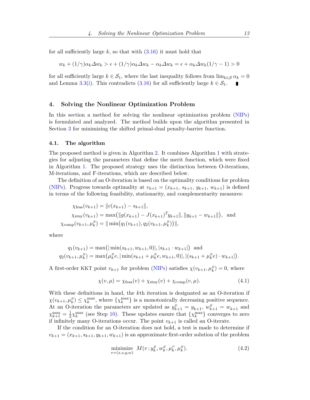for all sufficiently large k, so that with  $(3.16)$  it must hold that

$$
w_k + (1/\gamma)\alpha_k \Delta w_k > \epsilon + (1/\gamma)\alpha_k \Delta w_k - \alpha_k \Delta w_k = \epsilon + \alpha_k \Delta w_k (1/\gamma - 1) > 0
$$

for all sufficiently large  $k \in \mathcal{S}_1$ , where the last inequality follows from  $\lim_{k \in \mathcal{S}} \alpha_k = 0$ and Lemma [3.3\(](#page-11-1)[i\)](#page-12-0). This contradicts [\(3.16\)](#page-12-5) for all sufficiently large  $k \in S_1$ .

# <span id="page-13-0"></span>4. Solving the Nonlinear Optimization Problem

In this section a method for solving the nonlinear optimization problem [\(NIPs\)](#page-4-0) is formulated and analyzed. The method builds upon the algorithm presented in Section [3](#page-6-0) for minimizing the shifted primal-dual penalty-barrier function.

#### 4.1. The algorithm

The proposed method is given in Algorithm [2.](#page-15-0) It combines Algorithm [1](#page-7-0) with strategies for adjusting the parameters that define the merit function, which were fixed in Algorithm [1.](#page-7-0) The proposed strategy uses the distinction between O-iterations, M-iterations, and F-iterations, which are described below.

The definition of an O-iteration is based on the optimality conditions for problem [\(NIPs\)](#page-4-0). Progress towards optimality at  $v_{k+1} = (x_{k+1}, s_{k+1}, y_{k+1}, w_{k+1})$  is defined in terms of the following feasibility, stationarity, and complementarity measures:

$$
\chi_{\text{feas}}(v_{k+1}) = ||c(x_{k+1}) - s_{k+1}||,
$$
  
\n
$$
\chi_{\text{stay}}(v_{k+1}) = \max(||g(x_{k+1}) - J(x_{k+1})^T y_{k+1}||, ||y_{k+1} - w_{k+1}||),
$$
 and  
\n
$$
\chi_{\text{comp}}(v_{k+1}, \mu_k^B) = ||\min(q_1(v_{k+1}), q_2(v_{k+1}, \mu_k^B))||,
$$

where

$$
q_1(v_{k+1}) = \max(|\min(s_{k+1}, w_{k+1}, 0)|, |s_{k+1} \cdot w_{k+1}|) \text{ and}
$$
  

$$
q_2(v_{k+1}, \mu_k^B) = \max(\mu_k^B e, |\min(s_{k+1} + \mu_k^B e, w_{k+1}, 0)|, |(s_{k+1} + \mu_k^B e) \cdot w_{k+1}|).
$$

A first-order KKT point  $v_{k+1}$  for problem [\(NIPs\)](#page-4-0) satisfies  $\chi(v_{k+1}, \mu_k^B) = 0$ , where

<span id="page-13-2"></span>
$$
\chi(v,\mu) = \chi_{\text{feas}}(v) + \chi_{\text{stny}}(v) + \chi_{\text{comp}}(v,\mu). \tag{4.1}
$$

With these definitions in hand, the kth iteration is designated as an O-iteration if  $\chi(v_{k+1}, \mu_k^B) \leq \chi_k^{\max}$ , where  $\{\chi_k^{\max}\}\$ is a monotonically decreasing positive sequence. At an O-iteration the parameters are updated as  $y_{k+1}^E = y_{k+1}$ ,  $w_{k+1}^E = w_{k+1}$  and  $\chi_{k+1}^{\max} = \frac{1}{2}$  $\frac{1}{2}\chi_k^{\text{max}}$  (see Step [10\)](#page-15-0). These updates ensure that  $\{\chi_k^{\text{max}}\}$  converges to zero if infinitely many O-iterations occur. The point  $v_{k+1}$  is called an O-iterate.

<span id="page-13-1"></span>If the condition for an O-iteration does not hold, a test is made to determine if  $v_{k+1} = (x_{k+1}, s_{k+1}, y_{k+1}, w_{k+1})$  is an approximate first-order solution of the problem

minimize 
$$
M(v; y_k^E, w_k^E, \mu_k^P, \mu_k^B)
$$
. (4.2)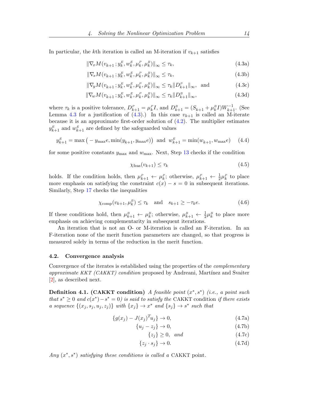<span id="page-14-13"></span>In particular, the k<sup>th</sup> iteration is called an M-iteration if  $v_{k+1}$  satisfies

$$
\|\nabla_x M(v_{k+1}\,; y_k^E, w_k^E, \mu_k^P, \mu_k^B)\|_{\infty} \le \tau_k,\tag{4.3a}
$$

<span id="page-14-10"></span><span id="page-14-0"></span>
$$
\|\nabla_s M(v_{k+1}; y_k^E, w_k^E, \mu_k^P, \mu_k^B)\|_{\infty} \le \tau_k,\tag{4.3b}
$$

$$
\|\nabla_y M(v_{k+1}\,; y_k^E, w_k^E, \mu_k^P, \mu_k^B)\|_{\infty} \le \tau_k \|D_{k+1}^P\|_{\infty}, \text{ and } (4.3c)
$$

$$
\|\nabla_w M(v_{k+1}\,; y_k^E, w_k^E, \mu_k^P, \mu_k^B)\|_{\infty} \le \tau_k \|D_{k+1}^B\|_{\infty},\tag{4.3d}
$$

where  $\tau_k$  is a positive tolerance,  $D_{k+1}^P = \mu_k^P I$ , and  $D_{k+1}^B = (S_{k+1} + \mu_k^B I)W_{k+1}^{-1}$ . (See Lemma [4.3](#page-17-0) for a justification of  $(4.3)$ .) In this case  $v_{k+1}$  is called an M-iterate because it is an approximate first-order solution of  $(4.2)$ . The multiplier estimates  $y_{k+1}^E$  and  $w_{k+1}^E$  are defined by the safeguarded values

$$
y_{k+1}^{E} = \max(-y_{\max}e, \min(y_{k+1}, y_{\max}e)) \text{ and } w_{k+1}^{E} = \min(w_{k+1}, w_{\max}e) \quad (4.4)
$$

for some positive constants  $y_{\text{max}}$  and  $w_{\text{max}}$ . Next, Step [13](#page-15-0) checks if the condition

<span id="page-14-12"></span><span id="page-14-11"></span><span id="page-14-9"></span><span id="page-14-8"></span><span id="page-14-7"></span><span id="page-14-1"></span>
$$
\chi_{\text{feas}}(v_{k+1}) \le \tau_k \tag{4.5}
$$

holds. If the condition holds, then  $\mu_{k+1}^p \leftarrow \mu_k^p$ ; otherwise,  $\mu_{k+1}^p \leftarrow \frac{1}{2} \mu_k^p$  to place more emphasis on satisfying the constraint  $c(x) - s = 0$  in subsequent iterations. Similarly, Step [17](#page-15-0) checks the inequalities

$$
\chi_{\text{comp}}(v_{k+1}, \mu_k^B) \le \tau_k \quad \text{and} \quad s_{k+1} \ge -\tau_k e. \tag{4.6}
$$

If these conditions hold, then  $\mu_{k+1}^B \leftarrow \mu_k^B$ ; otherwise,  $\mu_{k+1}^B \leftarrow \frac{1}{2} \mu_k^B$  to place more emphasis on achieving complementarity in subsequent iterations.

An iteration that is not an O- or M-iteration is called an F-iteration. In an F-iteration none of the merit function parameters are changed, so that progress is measured solely in terms of the reduction in the merit function.

#### 4.2. Convergence analysis

Convergence of the iterates is established using the properties of the *complementary* approximate KKT  $(CAKKT)$  condition proposed by Andreani, Martínez and Svaiter [\[2\]](#page-34-6), as described next.

<span id="page-14-2"></span>Definition 4.1. (CAKKT condition) A feasible point  $(x^*, s^*)$  (i.e., a point such that  $s^* \geq 0$  and  $c(x^*) - s^* = 0$ ) is said to satisfy the CAKKT condition if there exists a sequence  $\{(x_j, s_j, u_j, z_j)\}\$  with  $\{x_j\} \to x^*$  and  $\{s_j\} \to s^*$  such that

$$
\{g(x_j) - J(x_j)^T u_j\} \to 0,\tag{4.7a}
$$

$$
\{u_j - z_j\} \to 0,\tag{4.7b}
$$

<span id="page-14-6"></span><span id="page-14-5"></span><span id="page-14-4"></span><span id="page-14-3"></span> $\{z_j\} \geq 0$ , and (4.7c)

$$
\{z_j \cdot s_j\} \to 0. \tag{4.7d}
$$

Any  $(x^*, s^*)$  satisfying these conditions is called a CAKKT point.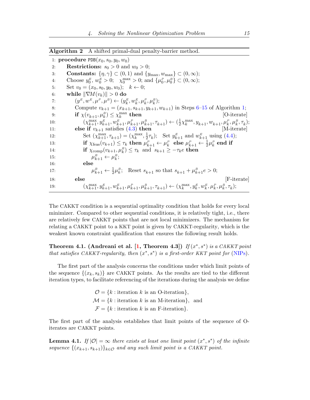<span id="page-15-3"></span><span id="page-15-0"></span>

|  |  |  | <b>Algorithm 2</b> A shifted primal-dual penalty-barrier method. |  |
|--|--|--|------------------------------------------------------------------|--|
|--|--|--|------------------------------------------------------------------|--|

1: **procedure**  $PDE(x_0, s_0, y_0, w_0)$ 2: **Restrictions:**  $s_0 > 0$  and  $w_0 > 0$ ; 3: **Constants:**  $\{\eta, \gamma\} \subset (0, 1)$  and  $\{y_{\text{max}}, w_{\text{max}}\} \subset (0, \infty)$ ; 4: Choose  $y_0^E, w_0^E > 0$ ;  $\chi_0^{\max} > 0$ ; and  $\{\mu_0^P, \mu_0^B\} \subset (0, \infty)$ ; 5: Set  $v_0 = (x_0, s_0, y_0, w_0); k \leftarrow 0;$ 6: while  $\|\nabla M(v_k)\| > 0$  do 7:  $(y^E, w^E, \mu^P, \mu^B) \leftarrow (y^E_k, w^E_k, \mu^P_k, \mu^B_k);$ 8: Compute  $v_{k+1} = (x_{k+1}, s_{k+1}, y_{k+1}, w_{k+1})$  in Steps 6-15 of Algorithm [1;](#page-7-0) 9: **if**  $\chi(v_{k+1}, \mu_k^B) \leq \chi_k^{\max}$ then [O-iterate] 10:  $(\chi_{k+1}^{\max}, y_{k+1}^E, w_{k+1}^E, \mu_{k+1}^P, \mu_{k+1}^B, \tau_{k+1}) \leftarrow (\frac{1}{2})$  $\frac{1}{2}\chi_k^{\max}, y_{k+1}, w_{k+1}, \mu_k^P, \mu_k^B, \tau_k);$ 11: **else if**  $v_{k+1}$  satisfies  $(4.3)$  then [M-iterate] 12: Set  $(\chi_{k+1}^{\max}, \tau_{k+1}) = (\chi_k^{\max}, \frac{1}{2})$  $(\frac{1}{2}\tau_k)$ ; Set  $y_{k+1}^E$  and  $w_{k+1}^E$  using  $(4.4)$ ; 13: if  $\chi_{\text{feas}}(v_{k+1}) \leq \tau_k$  then  $\mu_{k+1}^P \leftarrow \mu_k^P$  else  $\mu_{k+1}^P \leftarrow \frac{1}{2} \mu_k^P$  end if 14: **if**  $\chi_{\text{comp}}(v_{k+1}, \mu_k^B) \leq \tau_k$  and  $s_{k+1} \geq -\tau_k e$  **then** 15:  $\mu$  $\mu_{k+1}^B \leftarrow \mu_k^B;$ 16: else 17: µ  $s_{k+1}^B \leftarrow \frac{1}{2}\mu_k^B$ ; Reset  $s_{k+1}$  so that  $s_{k+1} + \mu_{k+1}^B e > 0$ ; 18: else [F-iterate] 19:  $(\chi_{k+1}^{\max}, y_{k+1}^E, w_{k+1}^E, \mu_{k+1}^P, \mu_{k+1}^B, \tau_{k+1}) \leftarrow (\chi_k^{\max}, y_k^E, w_k^E, \mu_k^P, \mu_k^B, \tau_k);$ 

The CAKKT condition is a sequential optimality condition that holds for every local minimizer. Compared to other sequential conditions, it is relatively tight, i.e., there are relatively few CAKKT points that are not local minimizers. The mechanism for relating a CAKKT point to a KKT point is given by CAKKT-regularity, which is the weakest known constraint qualification that ensures the following result holds.

<span id="page-15-2"></span>Theorem 4.1. (Andreani et al. [\[1,](#page-34-7) Theorem 4.3]) If  $(x^*, s^*)$  is a CAKKT point that satisfies CAKKT-regularity, then  $(x^*, s^*)$  is a first-order KKT point for [\(NIPs\)](#page-4-0).

The first part of the analysis concerns the conditions under which limit points of the sequence  $\{(x_k, s_k)\}\$ are CAKKT points. As the results are tied to the different iteration types, to facilitate referencing of the iterations during the analysis we define

> $\mathcal{O} = \{k : \text{iteration } k \text{ is an } \text{O-iteration}\},\$  $\mathcal{M} = \{k : \text{iteration } k \text{ is an M-iteration}\},\$ and  $\mathcal{F} = \{k : \text{iteration } k \text{ is an } F\text{-iteration}\}.$

The first part of the analysis establishes that limit points of the sequence of Oiterates are CAKKT points.

<span id="page-15-1"></span>**Lemma 4.1.** If  $|0| = \infty$  there exists at least one limit point  $(x^*, s^*)$  of the infinite sequence  $\{(x_{k+1}, s_{k+1})\}_{k\in\mathcal{O}}$  and any such limit point is a CAKKT point.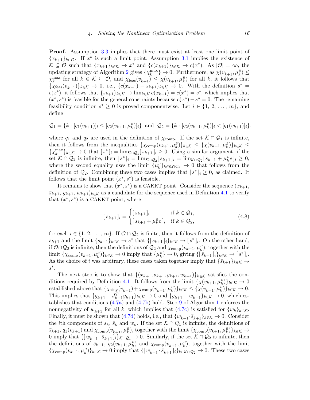Proof. Assumption [3.3](#page-7-4) implies that there must exist at least one limit point of  ${x_{k+1}}_{k\in\mathcal{O}}$ . If  $x^*$  is such a limit point, Assumption [3.1](#page-7-5) implies the existence of  $\mathcal{K} \subseteq \mathcal{O}$  such that  $\{x_{k+1}\}_{k \in \mathcal{K}} \to x^*$  and  $\{c(x_{k+1})\}_{k \in \mathcal{K}} \to c(x^*)$ . As  $|\mathcal{O}| = \infty$ , the updating strategy of Algorithm [2](#page-15-0) gives  $\{\chi_k^{\max}\}\to 0$ . Furthermore, as  $\chi(v_{k+1}, \mu_k^B) \le$  $\chi_k^{\max}$  for all  $k \in \mathcal{K} \subseteq \mathcal{O}$ , and  $\chi_{\text{feas}}(v_{k+1}) \leq \chi(v_{k+1}, \mu_k^B)$  for all k, it follows that  $\{\chi_{\text{feas}}(v_{k+1})\}_{k\in\mathcal{K}} \to 0$ , i.e.,  $\{c(x_{k+1}) - s_{k+1}\}_{k\in\mathcal{K}} \to 0$ . With the definition  $s^* =$  $c(x^*)$ , it follows that  $\{s_{k+1}\}_{k\in\mathcal{K}} \to \lim_{k\in\mathcal{K}} c(x_{k+1}) = c(x^*) = s^*$ , which implies that  $(x^*, s^*)$  is feasible for the general constraints because  $c(x^*) - s^* = 0$ . The remaining feasibility condition  $s^* \geq 0$  is proved componentwise. Let  $i \in \{1, 2, ..., m\}$ , and define

$$
Q_1 = \{k : [q_1(v_{k+1})]_i \leq [q_2(v_{k+1}, \mu_k^B)]_i\} \text{ and } Q_2 = \{k : [q_2(v_{k+1}, \mu_k^B)]_i < [q_1(v_{k+1})]_i\},
$$

where  $q_1$  and  $q_2$  are used in the definition of  $\chi_{\text{comp}}$ . If the set  $\mathcal{K} \cap \mathcal{Q}_1$  is infinite, then it follows from the inequalities  $\{\chi_{\text{comp}}(v_{k+1}, \mu_k^B)\}_{k \in \mathcal{K}} \leq \{\chi(v_{k+1}, \mu_k^B)\}_{k \in \mathcal{K}} \leq$  $\{\chi_k^{\max}\}_{k\in\mathcal{K}} \to 0$  that  $[s^*]_i = \lim_{\mathcal{K}\cap\mathcal{Q}_1}[s_{k+1}]_i \geq 0$ . Using a similar argument, if the set  $\mathcal{K} \cap \mathcal{Q}_2$  is infinite, then  $[s^*]_i = \lim_{\mathcal{K} \cap \mathcal{Q}_2} [s_{k+1}]_i = \lim_{\mathcal{K} \cap \mathcal{Q}_2} [s_{k+1} + \mu_k^B e]_i \geq 0$ , where the second equality uses the limit  $\{\mu_k^B\}_{k \in \mathcal{K} \cap \mathcal{Q}_2} \to 0$  that follows from the definition of  $\mathcal{Q}_2$ . Combining these two cases implies that  $[s^*]_i \geq 0$ , as claimed. It follows that the limit point  $(x^*, s^*)$  is feasible.

It remains to show that  $(x^*, s^*)$  is a CAKKT point. Consider the sequence  $(x_{k+1},$  $\bar{s}_{k+1}, y_{k+1}, w_{k+1}$ <sub>k∈K</sub> as a candidate for the sequence used in Definition [4.1](#page-14-2) to verify that  $(x^*, s^*)$  is a CAKKT point, where

$$
[\bar{s}_{k+1}]_i = \begin{cases} [s_{k+1}]_i & \text{if } k \in \mathcal{Q}_1, \\ [s_{k+1} + \mu_k^B e]_i & \text{if } k \in \mathcal{Q}_2, \end{cases}
$$
(4.8)

for each  $i \in \{1, 2, ..., m\}$ . If  $\mathcal{O} \cap \mathcal{Q}_2$  is finite, then it follows from the definition of  $\bar{s}_{k+1}$  and the limit  $\{s_{k+1}\}_{k\in\mathcal{K}} \to s^*$  that  $\{[\bar{s}_{k+1}]_i\}_{k\in\mathcal{K}} \to [s^*]_i$ . On the other hand, if  $\mathcal{O} \cap \mathcal{Q}_2$  is infinite, then the definitions of  $\mathcal{Q}_2$  and  $\chi_{\text{comp}}(v_{k+1}, \mu_k^B)$ , together with the limit  $\{\chi_{\text{comp}}(v_{k+1}, \mu_k^B)\}_{k \in \mathcal{K}} \to 0$  imply that  $\{\mu_k^B\} \to 0$ , giving  $\{\left[\bar{s}_{k+1}\right]_i\}_{k \in \mathcal{K}} \to [s^*]_i$ . As the choice of i was arbitrary, these cases taken together imply that  $\{\bar{s}_{k+1}\}_{k\in\mathcal{K}} \to$  $s^*$ .

The next step is to show that  $\{(x_{k+1}, \bar{s}_{k+1}, y_{k+1}, w_{k+1})\}_{k\in\mathcal{K}}$  satisfies the con-ditions required by Definition [4.1.](#page-14-2) It follows from the limit  $\{\chi(v_{k+1}, \mu_k^B)\}_{k \in \mathcal{K}} \to 0$ established above that  $\{\chi_{\text{stny}}(v_{k+1}) + \chi_{\text{comp}}(v_{k+1}, \mu_k^B)\}_{k \in \mathcal{K}} \leq \{\chi(v_{k+1}, \mu_k^B)\}_{k \in \mathcal{K}} \to 0.$ This implies that  $\{g_{k+1} - J_{k+1}^T y_{k+1}\}_{k \in \mathcal{K}} \to 0$  and  $\{y_{k+1} - w_{k+1}\}_{k \in \mathcal{K}} \to 0$ , which establishes that conditions [\(4.7a\)](#page-14-3) and [\(4.7b\)](#page-14-4) hold. Step [9](#page-7-0) of Algorithm [1](#page-7-0) enforces the nonnegativity of  $w_{k+1}$  for all k, which implies that [\(4.7c\)](#page-14-5) is satisfied for  $\{w_k\}_{k\in\mathcal{K}}$ . Finally, it must be shown that [\(4.7d\)](#page-14-6) holds, i.e., that  $\{w_{k+1} \cdot \bar{s}_{k+1}\}_{k \in \mathcal{K}} \to 0$ . Consider the *i*th components of  $s_k$ ,  $\bar{s}_k$  and  $w_k$ . If the set  $K \cap \mathcal{Q}_1$  is infinite, the definitions of  $\bar{s}_{k+1}, q_1(v_{k+1})$  and  $\chi_{\text{comp}}(v_{k+1}, \mu_k^B)$ , together with the limit  $\{\chi_{\text{comp}}(v_{k+1}, \mu_k^B)\}_{k \in \mathcal{K}} \to$ 0 imply that  $\{[w_{k+1} \cdot \bar{s}_{k+1}]_i\}_{k\cap Q_1}$   $\to$  0. Similarly, if the set  $\mathcal{K} \cap Q_2$  is infinite, then the definitions of  $\bar{s}_{k+1}$ ,  $q_2(v_{k+1}, \mu_k^B)$  and  $\chi_{\text{comp}}(v_{k+1}, \mu_k^B)$ , together with the limit  $\{\chi_{\text{comp}}(v_{k+1}, \mu_k^B)\}_{k \in \mathcal{K}} \to 0$  imply that  $\{[w_{k+1} \cdot \bar{s}_{k+1}]_i\}_{k \in \mathcal{K} \cap \mathcal{Q}_2} \to 0$ . These two cases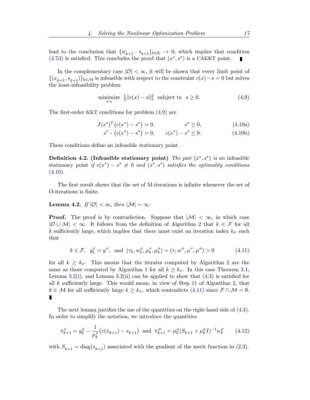lead to the conclusion that  $\{w_{k+1} \cdot \bar{s}_{k+1}\}_{k \in \mathcal{K}} \to 0$ , which implies that condition  $(4.7d)$  is satisfied. This concludes the proof that  $(x^*, s^*)$  is a CAKKT point.

In the complementary case  $|\mathcal{O}| < \infty$ , it will be shown that every limit point of  $\{(x_{k+1}, s_{k+1})\}_{k\in\mathcal{M}}$  is infeasible with respect to the constraint  $c(x)-s=0$  but solves the least-infeasibility problem

<span id="page-17-1"></span>
$$
\underset{x,s}{\text{minimize}} \quad \frac{1}{2} \|c(x) - s\|_2^2 \quad \text{subject to} \quad s \ge 0. \tag{4.9}
$$

The first-order KKT conditions for problem [\(4.9\)](#page-17-1) are

$$
J(x^*)^T (c(x^*) - s^*) = 0, \qquad s^* \ge 0,
$$
\n(4.10a)

<span id="page-17-8"></span><span id="page-17-7"></span><span id="page-17-2"></span>
$$
s^* \cdot (c(x^*) - s^*) = 0, \qquad c(x^*) - s^* \le 0. \tag{4.10b}
$$

<span id="page-17-5"></span>These conditions define an infeasible stationary point.

Definition 4.2. (Infeasible stationary point) The pair  $(x^*, s^*)$  is an infeasible stationary point if  $c(x^*) - s^* \neq 0$  and  $(x^*, s^*)$  satisfies the optimality conditions  $(4.10).$  $(4.10).$ 

The first result shows that the set of M-iterations is infinite whenever the set of O-iterations is finite.

<span id="page-17-4"></span>Lemma 4.2. If  $|\mathcal{O}| < \infty$ , then  $|\mathcal{M}| = \infty$ .

**Proof.** The proof is by contradiction. Suppose that  $|M| < \infty$ , in which case  $|\mathcal{O} \cup \mathcal{M}| < \infty$ . It follows from the definition of Algorithm [2](#page-15-0) that  $k \in \mathcal{F}$  for all k sufficiently large, which implies that there must exist an iteration index  $k_F$  such that

<span id="page-17-3"></span>
$$
k \in \mathcal{F}
$$
,  $y_k^E = y^E$ , and  $(\tau_k, w_k^E, \mu_k^P, \mu_k^P) = (\tau, w^E, \mu^P, \mu^P) > 0$  (4.11)

for all  $k \geq k_F$ . This means that the iterates computed by Algorithm [2](#page-15-0) are the same as those computed by Algorithm [1](#page-7-0) for all  $k \geq k_F$ . In this case Theorem [3.1,](#page-12-6) Lemma [3.2\(](#page-8-6)[i\)](#page-8-2), and Lemma 3.2([ii\)](#page-8-3) can be applied to show that  $(4.3)$  is satisfied for all  $k$  sufficiently large. This would mean, in view of Step [11](#page-15-0) of Algorithm [2,](#page-15-0) that  $k \in \mathcal{M}$  for all sufficiently large  $k \geq k_F$ , which contradicts [\(4.11\)](#page-17-3) since  $\mathcal{F} \cap \mathcal{M} = \emptyset$ . Ī

The next lemma justifies the use of the quantities on the right-hand side of [\(4.3\)](#page-14-0). In order to simplify the notation, we introduce the quantities

<span id="page-17-6"></span>
$$
\pi_{k+1}^Y = y_k^E - \frac{1}{\mu_k^P} \left( c(x_{k+1}) - s_{k+1} \right) \text{ and } \pi_{k+1}^W = \mu_k^B (S_{k+1} + \mu_k^B I)^{-1} w_k^E \tag{4.12}
$$

<span id="page-17-0"></span>with  $S_{k+1} = \text{diag}(s_{k+1})$  associated with the gradient of the merit function in [\(2.3\)](#page-6-2).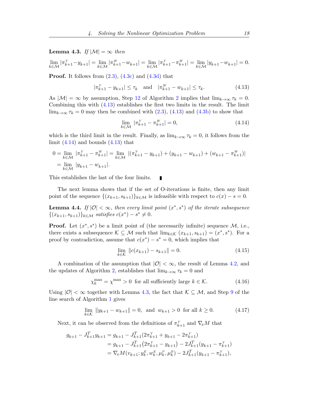# **Lemma 4.3.** If  $|\mathcal{M}| = \infty$  then

$$
\lim_{k \in \mathcal{M}} |\pi_{k+1}^Y - y_{k+1}| = \lim_{k \in \mathcal{M}} |\pi_{k+1}^W - w_{k+1}| = \lim_{k \in \mathcal{M}} |\pi_{k+1}^Y - \pi_{k+1}^W| = \lim_{k \in \mathcal{M}} |y_{k+1} - w_{k+1}| = 0.
$$

**Proof.** It follows from  $(2.3)$ ,  $(4.3c)$  and  $(4.3d)$  that

$$
|\pi_{k+1}^Y - y_{k+1}| \le \tau_k \quad \text{and} \quad |\pi_{k+1}^W - w_{k+1}| \le \tau_k. \tag{4.13}
$$

As  $|\mathcal{M}| = \infty$  by assumption, Step [12](#page-15-0) of Algorithm [2](#page-15-0) implies that  $\lim_{k \to \infty} \tau_k = 0$ . Combining this with [\(4.13\)](#page-18-0) establishes the first two limits in the result. The limit  $\lim_{k\to\infty} \tau_k = 0$  may then be combined with [\(2.3\)](#page-6-2), [\(4.13\)](#page-18-0) and [\(4.3b\)](#page-14-9) to show that

<span id="page-18-1"></span><span id="page-18-0"></span>
$$
\lim_{k \in \mathcal{M}} |\pi_{k+1}^Y - \pi_{k+1}^W| = 0,
$$
\n(4.14)

which is the third limit in the result. Finally, as  $\lim_{k\to\infty} \tau_k = 0$ , it follows from the limit  $(4.14)$  and bounds  $(4.13)$  that

$$
0 = \lim_{k \in \mathcal{M}} |\pi_{k+1}^Y - \pi_{k+1}^W| = \lim_{k \in \mathcal{M}} |(\pi_{k+1}^Y - y_{k+1}) + (y_{k+1} - w_{k+1}) + (w_{k+1} - \pi_{k+1}^W)|
$$
  
= 
$$
\lim_{k \in \mathcal{M}} |y_{k+1} - w_{k+1}|.
$$

This establishes the last of the four limits.  $\blacksquare$ 

The next lemma shows that if the set of O-iterations is finite, then any limit point of the sequence  $\{(x_{k+1}, s_{k+1})\}_{k\in\mathcal{M}}$  is infeasible with respect to  $c(x) - s = 0$ .

<span id="page-18-5"></span>**Lemma 4.4.** If  $|0| < \infty$ , then every limit point  $(x^*, s^*)$  of the iterate subsequence  $\{(x_{k+1}, s_{k+1})\}_{k \in \mathcal{M}} \text{ satisfies } c(x^*) - s^* \neq 0.$ 

**Proof.** Let  $(x^*, s^*)$  be a limit point of (the necessarily infinite) sequence  $\mathcal{M}$ , i.e., there exists a subsequence  $\mathcal{K} \subseteq \mathcal{M}$  such that  $\lim_{k \in \mathcal{K}} (x_{k+1}, s_{k+1}) = (x^*, s^*)$ . For a proof by contradiction, assume that  $c(x^*) - s^* = 0$ , which implies that

<span id="page-18-4"></span><span id="page-18-2"></span>
$$
\lim_{k \in \mathcal{K}} \|c(x_{k+1}) - s_{k+1}\| = 0. \tag{4.15}
$$

A combination of the assumption that  $|0| < \infty$ , the result of Lemma [4.2,](#page-17-4) and the updates of Algorithm [2,](#page-15-0) establishes that  $\lim_{k\to\infty} \tau_k = 0$  and

<span id="page-18-3"></span>
$$
\chi_k^{\text{max}} = \chi^{\text{max}} > 0 \text{ for all sufficiently large } k \in \mathcal{K}.
$$
 (4.16)

Using  $|0| < \infty$  together with Lemma [4.3,](#page-17-0) the fact that  $K \subseteq \mathcal{M}$ , and Step [9](#page-7-0) of the line search of Algorithm [1](#page-7-0) gives

$$
\lim_{k \in \mathcal{K}} \|y_{k+1} - w_{k+1}\| = 0, \text{ and } w_{k+1} > 0 \text{ for all } k \ge 0.
$$
 (4.17)

Next, it can be observed from the definitions of  $\pi_{k+1}^Y$  and  $\nabla_x M$  that

$$
g_{k+1} - J_{k+1}^T y_{k+1} = g_{k+1} - J_{k+1}^T (2\pi_{k+1}^Y + y_{k+1} - 2\pi_{k+1}^Y)
$$
  
=  $g_{k+1} - J_{k+1}^T (2\pi_{k+1}^Y - y_{k+1}) - 2J_{k+1}^T (y_{k+1} - \pi_{k+1}^Y)$   
=  $\nabla_x M(v_{k+1}; y_k^E, w_k^E, \mu_k^B, \mu_k^B) - 2J_{k+1}^T (y_{k+1} - \pi_{k+1}^Y),$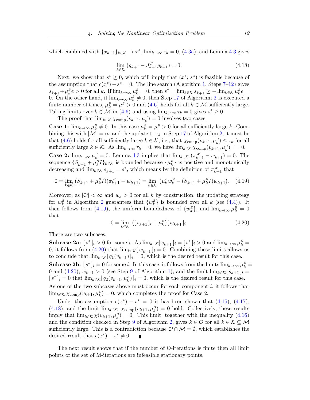<span id="page-19-2"></span>which combined with  $\{x_{k+1}\}_{k\in\mathcal{K}} \to x^*$ ,  $\lim_{k\to\infty} \tau_k = 0$ , [\(4.3a\)](#page-14-10), and Lemma [4.3](#page-17-0) gives

$$
\lim_{k \in \mathcal{K}} (g_{k+1} - J_{k+1}^T y_{k+1}) = 0.
$$
\n(4.18)

Next, we show that  $s^* \geq 0$ , which will imply that  $(x^*, s^*)$  is feasible because of the assumption that  $c(x^*) - s^* = 0$ . The line search (Algorithm [1,](#page-7-0) Steps [7–12\)](#page-7-0) gives  $s_{k+1} + \mu_k^B e > 0$  for all k. If  $\lim_{k \to \infty} \mu_k^B = 0$ , then  $s^* = \lim_{k \in \mathcal{K}} s_{k+1} \ge -\lim_{k \in \mathcal{K}} \mu_k^B e =$ 0. On the other hand, if  $\lim_{k\to\infty}\mu_k^B\neq 0$ , then Step [17](#page-15-0) of Algorithm [2](#page-15-0) is executed a finite number of times,  $\mu_k^B = \mu^B > 0$  and  $(4.6)$  holds for all  $k \in \mathcal{M}$  sufficiently large. Taking limits over  $k \in \mathcal{M}$  in [\(4.6\)](#page-14-11) and using  $\lim_{k \to \infty} \tau_k = 0$  gives  $s^* \geq 0$ .

The proof that  $\lim_{k \in \mathcal{K}} \chi_{\text{comp}}(v_{k+1}, \mu_k^B) = 0$  involves two cases.

**Case 1:**  $\lim_{k\to\infty} \mu_k^B \neq 0$ . In this case  $\mu_k^B = \mu^B > 0$  for all sufficiently large k. Combining this with  $|\mathcal{M}| = \infty$  and the update to  $\tau_k$  in Step [17](#page-15-0) of Algorithm [2,](#page-15-0) it must be that [\(4.6\)](#page-14-11) holds for all sufficiently large  $k \in \mathcal{K}$ , i.e., that  $\chi_{\text{comp}}(v_{k+1}, \mu_k^B) \leq \tau_k$  for all sufficiently large  $k \in \mathcal{K}$ . As  $\lim_{k \to \infty} \tau_k = 0$ , we have  $\lim_{k \in \mathcal{K}} \chi_{\text{comp}}(v_{k+1}, \mu_k^B) = 0$ .

**Case 2:**  $\lim_{k \to \infty} \mu_k^B = 0$ . Lemma [4.3](#page-17-0) implies that  $\lim_{k \in \mathcal{K}} (\pi_{k+1}^W - w_{k+1}) = 0$ . The sequence  $\{S_{k+1} + \mu_k^B I\}_{k \in \mathcal{K}}$  is bounded because  $\{\mu_k^B\}$  is positive and monotonically decreasing and  $\lim_{k \in \mathcal{K}} s_{k+1} = s^*$ , which means by the definition of  $\pi_{k+1}^W$  that

$$
0 = \lim_{k \in \mathcal{K}} (S_{k+1} + \mu_k^B I)(\pi_{k+1}^W - w_{k+1}) = \lim_{k \in \mathcal{K}} (\mu_k^B w_k^E - (S_{k+1} + \mu_k^B I)w_{k+1}). \tag{4.19}
$$

<span id="page-19-1"></span>Moreover, as  $|\mathcal{O}| < \infty$  and  $w_k > 0$  for all k by construction, the updating strategy for  $w_k^E$  in Algorithm [2](#page-15-0) guarantees that  $\{w_k^E\}$  is bounded over all k (see [\(4.4\)](#page-14-1)). It then follows from [\(4.19\)](#page-19-0), the uniform boundedness of  $\{w_k^E\}$ , and  $\lim_{k\to\infty}\mu_k^B=0$ that

<span id="page-19-0"></span>
$$
0 = \lim_{k \in \mathcal{K}} \left( [s_{k+1}]_i + \mu_k^B \right) [w_{k+1}]_i.
$$
 (4.20)

There are two subcases.

**Subcase 2a:**  $[s^*]_i > 0$  for some *i*. As  $\lim_{k \in \mathcal{K}} [s_{k+1}]_i = [s^*]_i > 0$  and  $\lim_{k \to \infty} \mu_k^B =$ 0, it follows from [\(4.20\)](#page-19-1) that  $\lim_{k \in \mathcal{K}} [w_{k+1}]_i = 0$ . Combining these limits allows us to conclude that  $\lim_{k \in \mathcal{K}} [q_1(v_{k+1})]_i = 0$ , which is the desired result for this case.

**Subcase 2b:**  $[s^*]_i = 0$  for some i. In this case, it follows from the limits  $\lim_{k \to \infty} \mu_k^B =$ 0 and [\(4.20\)](#page-19-1),  $w_{k+1} > 0$  (see Step [9](#page-7-0) of Algorithm [1\)](#page-7-0), and the limit  $\lim_{k \in \mathcal{K}} [s_{k+1}]_i =$  $[s^*]_i = 0$  that  $\lim_{k \in \mathcal{K}} [q_2(v_{k+1}, \mu_k^B)]_i = 0$ , which is the desired result for this case. As one of the two subcases above must occur for each component  $i$ , it follows that  $\lim_{k \in \mathcal{K}} \chi_{\text{comp}}(v_{k+1}, \mu_k^B) = 0$ , which completes the proof for Case 2.

Under the assumption  $c(x^*) - s^* = 0$  it has been shown that [\(4.15\)](#page-18-2), [\(4.17\)](#page-18-3), [\(4.18\)](#page-19-2), and the limit  $\lim_{k \in \mathcal{K}} \chi_{\text{comp}}(v_{k+1}, \mu_k^B) = 0$  hold. Collectively, these results imply that  $\lim_{k \in \mathcal{K}} \chi(v_{k+1}, \mu_k^B) = 0$ . This limit, together with the inequality [\(4.16\)](#page-18-4) and the condition checked in Step [9](#page-15-0) of Algorithm [2,](#page-15-0) gives  $k \in \mathcal{O}$  for all  $k \in \mathcal{K} \subseteq \mathcal{M}$ sufficiently large. This is a contradiction because  $\mathcal{O} \cap \mathcal{M} = \emptyset$ , which establishes the desired result that  $c(x^*) - s^* \neq 0$ . ×

<span id="page-19-3"></span>The next result shows that if the number of O-iterations is finite then all limit points of the set of M-iterations are infeasible stationary points.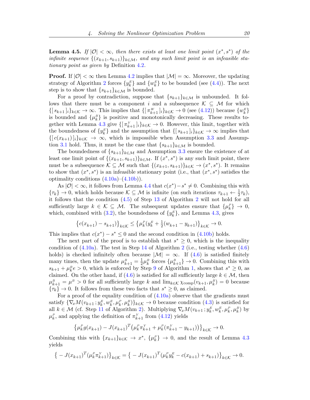**Lemma 4.5.** If  $|0| < \infty$ , then there exists at least one limit point  $(x^*, s^*)$  of the infinite sequence  $\{(x_{k+1}, s_{k+1})\}_{k\in\mathcal{M}}$ , and any such limit point is an infeasible stationary point as given by Definition [4.2](#page-17-5).

**Proof.** If  $|0| < \infty$  then Lemma [4.2](#page-17-4) implies that  $|M| = \infty$ . Moreover, the updating strategy of Algorithm [2](#page-15-0) forces  $\{y_k^E\}$  and  $\{w_k^E\}$  to be bounded (see [\(4.4\)](#page-14-1)). The next step is to show that  $\{s_{k+1}\}_{k\in\mathcal{M}}$  is bounded.

For a proof by contradiction, suppose that  $\{s_{k+1}\}_k \in \mathcal{M}$  is unbounded. It follows that there must be a component i and a subsequence  $\mathcal{K} \subseteq \mathcal{M}$  for which  $\{ [s_{k+1}]_i \}_{k \in \mathcal{K}} \to \infty$ . This implies that  $\{ [\pi_{k+1}^W]_i \}_{k \in \mathcal{K}} \to 0$  (see [\(4.12\)](#page-17-6)) because  $\{w_k^E\}$ is bounded and  $\{\mu_k^B\}$  is positive and monotonically decreasing. These results to-gether with Lemma [4.3](#page-17-0) give  $\{\lceil \pi_{k+1}^Y \rceil_i\}_{k \in \mathcal{K}} \to 0$ . However, this limit, together with the boundedness of  $\{y_k^E\}$  and the assumption that  $\{[s_{k+1}]_i\}_{k\in\mathcal{K}} \to \infty$  implies that  $\{[ c(x_{k+1}) ]_i \}_{k \in \mathcal{K}} \to \infty$ , which is impossible when Assumption [3.3](#page-7-4) and Assump-tion [3.1](#page-7-5) hold. Thus, it must be the case that  $\{s_{k+1}\}_k \in \mathcal{M}$  is bounded.

The boundedness of  $\{s_{k+1}\}_{k\in\mathcal{M}}$  and Assumption [3.3](#page-7-4) ensure the existence of at least one limit point of  $\{(x_{k+1}, s_{k+1})\}_{k \in \mathcal{M}}$ . If  $(x^*, s^*)$  is any such limit point, there must be a subsequence  $\mathcal{K} \subseteq \mathcal{M}$  such that  $\{(x_{k+1}, s_{k+1})\}_{k \in \mathcal{K}} \to (x^*, s^*)$ . It remains to show that  $(x^*, s^*)$  is an infeasible stationary point (i.e., that  $(x^*, s^*)$  satisfies the optimality conditions  $(4.10a)$ – $(4.10b)$ ).

As  $|0| < \infty$ , it follows from Lemma [4.4](#page-18-5) that  $c(x^*) - s^* \neq 0$ . Combining this with  $\{\tau_k\} \to 0$ , which holds because  $\mathcal{K} \subseteq \mathcal{M}$  is infinite (on such iterations  $\tau_{k+1} \leftarrow \frac{1}{2}\tau_k$ ), it follows that the condition [\(4.5\)](#page-14-12) of Step [13](#page-15-0) of Algorithm [2](#page-15-0) will not hold for all sufficiently large  $k \in \mathcal{K} \subseteq \mathcal{M}$ . The subsequent updates ensure that  $\{\mu_k^P\} \to 0$ , which, combined with [\(3.2\)](#page-7-2), the boundedness of  $\{y_k^E\}$ , and Lemma [4.3,](#page-17-0) gives

$$
\left\{c(x_{k+1}) - s_{k+1}\right\}_{k \in \mathcal{K}} \le \left\{\mu_k^P(y_k^E + \frac{1}{2}(w_{k+1} - y_{k+1})\right\}_{k \in \mathcal{K}} \to 0.
$$

This implies that  $c(x^*) - s^* \leq 0$  and the second condition in [\(4.10b\)](#page-17-8) holds.

The next part of the proof is to establish that  $s^* \geq 0$ , which is the inequality condition of  $(4.10a)$ . The test in Step [14](#page-15-0) of Algorithm [2](#page-15-0) (i.e., testing whether  $(4.6)$ ) holds) is checked infinitely often because  $|\mathcal{M}| = \infty$ . If [\(4.6\)](#page-14-11) is satisfied finitely many times, then the update  $\mu_{k+1}^B = \frac{1}{2}$  $\frac{1}{2}\mu_k^B$  forces  $\{\mu_{k+1}^B\} \to 0$ . Combining this with  $s_{k+1} + \mu_k^B e > 0$ , which is enforced by Step [9](#page-7-0) of Algorithm [1,](#page-7-0) shows that  $s^* \geq 0$ , as claimed. On the other hand, if [\(4.6\)](#page-14-11) is satisfied for all sufficiently large  $k \in \mathcal{M}$ , then  $\mu_{k+1}^B = \mu^B > 0$  for all sufficiently large k and  $\lim_{k \in \mathcal{K}} \chi_{\text{comp}}(v_{k+1}, \mu_k^B) = 0$  because  $\{\tau_k\} \to 0$ . It follows from these two facts that  $s^* \geq 0$ , as claimed.

For a proof of the equality condition of  $(4.10a)$  observe that the gradients must satisfy  $\{\nabla_x M(v_{k+1}\,; y_k^E, w_k^E, \mu_k^P, \mu_k^B)\}_{k\in\mathcal{K}} \to 0$  because condition  $(4.3)$  is satisfied for all  $k \in \mathcal{M}$  (cf. Step [11](#page-15-0) of Algorithm [2\)](#page-15-0). Multiplying  $\nabla_x M(v_{k+1}; y_k^E, w_k^E, \mu_k^P, \mu_k^B)$  by  $\mu_k^P$ , and applying the definition of  $\pi_{k+1}^Y$  from [\(4.12\)](#page-17-6) yields

$$
\{\mu_k^P g(x_{k+1}) - J(x_{k+1})^T (\mu_k^P \pi_{k+1}^Y + \mu_k^P (\pi_{k+1}^Y - y_{k+1}))\}_{k \in \mathcal{K}} \to 0.
$$

Combining this with  $\{x_{k+1}\}_{k\in\mathcal{K}} \to x^*$ ,  $\{\mu_k^P\} \to 0$ , and the result of Lemma [4.3](#page-17-0) yields

$$
\{-J(x_{k+1})^T(\mu_k^P \pi_{k+1}^Y)\}_{k \in \mathcal{K}} = \{-J(x_{k+1})^T(\mu_k^P y_k^E - c(x_{k+1}) + s_{k+1})\}_{k \in \mathcal{K}} \to 0.
$$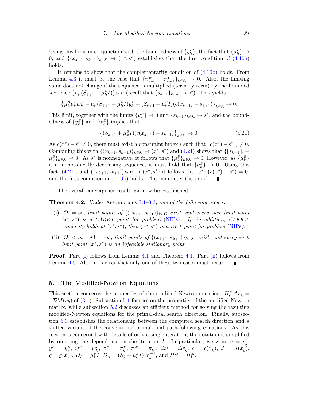Using this limit in conjunction with the boundedness of  $\{y_k^E\}$ , the fact that  $\{\mu_k^P\} \to$ 0, and  $\{(x_{k+1}, s_{k+1}\}_{k\in\mathcal{K}} \to (x^*, s^*)$  establishes that the first condition of  $(4.10a)$ holds.

It remains to show that the complementarity condition of [\(4.10b\)](#page-17-8) holds. From Lemma [4.3](#page-17-0) it must be the case that  $\{\pi_{k+1}^W - \pi_{k+1}^Y\}_{k \in \mathcal{K}} \to 0$ . Also, the limiting value does not change if the sequence is multiplied (term by term) by the bounded sequence  $\{\mu_k^P(S_{k+1} + \mu_k^B I)\}_{k \in \mathcal{K}}$  (recall that  $\{s_{k+1}\}_{k \in \mathcal{K}} \to s^*$ ). This yields

$$
\left\{\mu_k^B \mu_k^F w_k^E - \mu_k^P (S_{k+1} + \mu_k^B I) y_k^E + (S_{k+1} + \mu_k^B I)(c(x_{k+1}) - s_{k+1})\right\}_{k \in \mathcal{K}} \to 0.
$$

This limit, together with the limits  $\{\mu_k^P\} \to 0$  and  $\{s_{k+1}\}_{k \in \mathcal{K}} \to s^*$ , and the boundedness of  $\{y_k^E\}$  and  $\{w_k^E\}$  implies that

<span id="page-21-1"></span>
$$
\{(S_{k+1} + \mu_k^B I)(c(x_{k+1}) - s_{k+1})\}_{k \in \mathcal{K}} \to 0.
$$
\n(4.21)

As  $c(x^*) - s^* \neq 0$ , there must exist a constraint index i such that  $[c(x^*) - s^*]_i \neq 0$ . Combining this with  $\{(x_{k+1}, s_{k+1})\}_{k\in\mathcal{K}} \to (x^*, s^*)$  and  $(4.21)$  shows that  $\{[s_{k+1}]_i$  +  $\{\mu_k^B\}_{k\in\mathcal{K}}\to 0$ . As s<sup>\*</sup> is nonnegative, it follows that  $\{\mu_k^B\}_{k\in\mathcal{K}}\to 0$ , However, as  $\{\mu_k^B\}$ is a monotonically decreasing sequence, it must hold that  $\{\mu_k^B\} \to 0$ . Using this fact, [\(4.21\)](#page-21-1), and  $\{(x_{k+1}, s_{k+1})\}_{k \in \mathcal{K}} \to (x^*, s^*)$  it follows that  $s^* \cdot (c(x^*) - s^*) = 0$ , and the first condition in [\(4.10b\)](#page-17-8) holds. This completes the proof.

The overall convergence result can now be established.

Theorem 4.2. Under Assumptions [3.1–](#page-7-5)[3.3](#page-7-4), one of the following occurs.

- <span id="page-21-2"></span>(i)  $|O| = \infty$ , limit points of  $\{(x_{k+1}, s_{k+1})\}_{k \in O}$  exist, and every such limit point  $(x^*, s^*)$  is a CAKKT point for problem [\(NIPs\)](#page-4-0). If, in addition, CAKKTregularity holds at  $(x^*, s^*)$ , then  $(x^*, s^*)$  is a KKT point for problem [\(NIPs](#page-4-0)).
- <span id="page-21-3"></span>(ii)  $|\mathcal{O}| < \infty$ ,  $|\mathcal{M}| = \infty$ , limit points of  $\{(x_{k+1}, s_{k+1})\}_{k \in \mathcal{M}}$  exist, and every such limit point  $(x^*, s^*)$  is an infeasible stationary point.

Proof. Part [\(i\)](#page-21-2) follows from Lemma [4.1](#page-15-1) and Theorem [4.1.](#page-15-2) Part [\(ii\)](#page-21-3) follows from Lemma [4.5.](#page-19-3) Also, it is clear that only one of these two cases must occur.

# <span id="page-21-0"></span>5. The Modified-Newton Equations

This section concerns the properties of the modified-Newton equations  $H_k^M \Delta v_k =$  $-\nabla M(v_k)$  of [\(3.1\)](#page-6-1). Subsection [5.1](#page-22-0) focuses on the properties of the modified-Newton matrix, while subsection [5.2](#page-24-0) discusses an efficient method for solving the resulting modified-Newton equations for the primal-dual search direction. Finally, subsection [5.3](#page-25-0) establishes the relationship between the computed search direction and a shifted variant of the conventional primal-dual path-following equations. As this section is concerned with details of only a single iteration, the notation is simplified by omitting the dependence on the iteration k. In particular, we write  $v = v_k$ ,  $y^{E} \ = \ y_{k}^{E}, \ w^{E} \ = \ w_{k}^{E}, \ \pi^{Y} \ = \ \pi_{k}^{Y}, \ \pi^{W} \ = \ \pi_{k}^{W}, \ \Delta v \ = \ \Delta v_{k}, \ c \ = \ c(x_{k}), \ J \ = \ J(x_{k}),$  $g = g(x_k)$ ,  $D_P = \mu_k^P I$ ,  $D_B = (S_k + \mu_k^B I) W_k^{-1}$ , and  $H^M = H_k^M$ .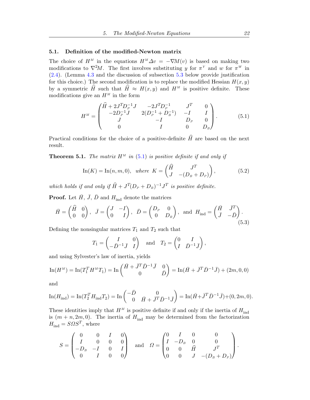# <span id="page-22-0"></span>5.1. Definition of the modified-Newton matrix

The choice of  $H^M$  in the equations  $H^M \Delta v = -\nabla M(v)$  is based on making two modifications to  $\nabla^2 M$ . The first involves substituting y for  $\pi^Y$  and w for  $\pi^W$  in [\(2.4\)](#page-6-3). (Lemma [4.3](#page-17-0) and the discussion of subsection [5.3](#page-25-0) below provide justification for this choice.) The second modification is to replace the modified Hessian  $H(x, y)$ by a symmetric H such that  $\hat{H} \approx H(x, y)$  and  $H^M$  is positive definite. These modifications give an  $H^M$  in the form

<span id="page-22-1"></span>
$$
H^{M} = \begin{pmatrix} \widehat{H} + 2J^{T}D_{P}^{-1}J & -2J^{T}D_{P}^{-1} & J^{T} & 0\\ -2D_{P}^{-1}J & 2(D_{P}^{-1} + D_{B}^{-1}) & -I & I\\ J & -I & D_{P} & 0\\ 0 & I & 0 & D_{B} \end{pmatrix}.
$$
 (5.1)

Practical conditions for the choice of a positive-definite  $\hat{H}$  are based on the next result.

**Theorem 5.1.** The matrix  $H^M$  in [\(5.1\)](#page-22-1) is positive definite if and only if

<span id="page-22-2"></span>
$$
\text{In}(K) = \text{In}(n, m, 0), \text{ where } K = \begin{pmatrix} \widehat{H} & J^T \\ J & -(D_B + D_P) \end{pmatrix}, \tag{5.2}
$$

which holds if and only if  $\widehat{H} + J^T(D_P + D_B)^{-1}J^T$  is positive definite.

**Proof.** Let  $\overline{H}$ ,  $\overline{J}$ ,  $\overline{D}$  and  $H_{ind}$  denote the matrices

$$
\bar{H} = \begin{pmatrix} \widehat{H} & 0 \\ 0 & 0 \end{pmatrix}, \quad \bar{J} = \begin{pmatrix} J & -I \\ 0 & I \end{pmatrix}, \quad \bar{D} = \begin{pmatrix} D_P & 0 \\ 0 & D_B \end{pmatrix}, \text{ and } H_{\text{ind}} = \begin{pmatrix} \bar{H} & \bar{J}^T \\ \bar{J} & -\bar{D} \end{pmatrix}.
$$
\n(5.3)

Defining the nonsingular matrices  $T_1$  and  $T_2$  such that

<span id="page-22-3"></span>
$$
T_1 = \begin{pmatrix} I & 0 \\ -\bar{D}^{-1}\bar{J} & I \end{pmatrix}
$$
 and  $T_2 = \begin{pmatrix} 0 & I \\ I & \bar{D}^{-1}\bar{J} \end{pmatrix}$ ,

and using Sylvester's law of inertia, yields

$$
\ln(H^M) = \ln(T_1^T H^M T_1) = \ln\begin{pmatrix} \bar{H} + \bar{J}^T \bar{D}^{-1} \bar{J} & 0\\ 0 & \bar{D} \end{pmatrix} = \ln(\bar{H} + \bar{J}^T \bar{D}^{-1} \bar{J}) + (2m, 0, 0)
$$

and

$$
\text{In}(H_{\text{ind}}) = \text{In}(T_2^T H_{\text{ind}} T_2) = \text{In}\begin{pmatrix} -\bar{D} & 0\\ 0 & \bar{H} + \bar{J}^T \bar{D}^{-1} \bar{J} \end{pmatrix} = \text{In}(\bar{H} + \bar{J}^T \bar{D}^{-1} \bar{J}) + (0, 2m, 0).
$$

These identities imply that  $H^M$  is positive definite if and only if the inertia of  $H_{ind}$ is  $(m + n, 2m, 0)$ . The inertia of  $H_{ind}$  may be determined from the factorization  $H_{\text{ind}} = S \Omega S^{T}$ , where

$$
S = \begin{pmatrix} 0 & 0 & I & 0 \\ I & 0 & 0 & 0 \\ -D_B & -I & 0 & I \\ 0 & I & 0 & 0 \end{pmatrix} \text{ and } \Omega = \begin{pmatrix} 0 & I & 0 & 0 \\ I & -D_B & 0 & 0 \\ 0 & 0 & \hat{H} & J^T \\ 0 & 0 & J & -(D_B + D_P) \end{pmatrix}.
$$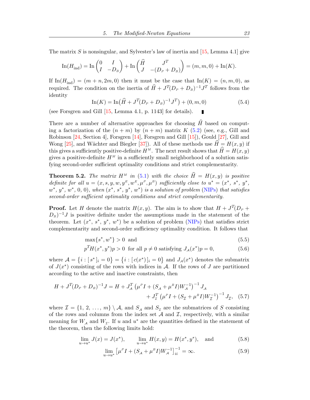<span id="page-23-6"></span>The matrix S is nonsingular, and Sylvester's law of inertia and  $[15, \text{Lemma } 4.1]$  $[15, \text{Lemma } 4.1]$  give

$$
\operatorname{In}(H_{\text{ind}}) = \operatorname{In}\begin{pmatrix} 0 & I \\ I & -D_B \end{pmatrix} + \operatorname{In}\begin{pmatrix} \widehat{H} & J^T \\ J & -(D_P + D_B) \end{pmatrix} = (m, m, 0) + \operatorname{In}(K).
$$

<span id="page-23-4"></span>If  $\text{In}(H_{\text{ind}}) = (m + n, 2m, 0)$  then it must be the case that  $\text{In}(K) = (n, m, 0)$ , as required. The condition on the inertia of  $\widehat{H} + J^T (D_P + D_B)^{-1} J^T$  follows from the identity

$$
\ln(K) = \ln(\widehat{H} + J^T (D_P + D_B)^{-1} J^T) + (0, m, 0)
$$
\n(5.4)

(see Forsgren and Gill [\[15,](#page-35-9) Lemma 4.1, p. 1143] for details).

There are a number of alternative approaches for choosing  $\widehat{H}$  based on computing a factorization of the  $(n + m)$  by  $(n + m)$  matrix K [\(5.2\)](#page-22-2) (see, e.g., Gill and Robinson [\[24,](#page-35-12) Section 4], Forsgren [\[14\]](#page-35-13), Forsgren and Gill [\[15\]](#page-35-9)), Gould [\[27\]](#page-35-14), Gill and Wong [\[25\]](#page-35-15), and Wächter and Biegler [\[37\]](#page-36-2)). All of these methods use  $H = H(x, y)$  if this gives a sufficiently positive-definite  $H^M$ . The next result shows that  $\hat{H} = H(x, y)$ gives a positive-definite  $H^M$  in a sufficiently small neighborhood of a solution satisfying second-order sufficient optimality conditions and strict complementarity.

<span id="page-23-5"></span>**Theorem 5.2.** The matrix  $H^M$  in [\(5.1\)](#page-22-1) with the choice  $\widehat{H} = H(x, y)$  is positive definite for all  $u = (x, s, y, w, y^E, w^E, \mu^P, \mu^B)$  sufficiently close to  $u^* = (x^*, s^*, y^*,$  $w^*, y^*, w^*, 0, 0$ , when  $(x^*, s^*, y^*, w^*)$  is a solution of problem [\(NIPs\)](#page-4-0) that satisfies second-order sufficient optimality conditions and strict complementarity.

**Proof.** Let H denote the matrix  $H(x, y)$ . The aim is to show that  $H + J<sup>T</sup>(D<sub>P</sub> +$  $(D_B)^{-1}J$  is positive definite under the assumptions made in the statement of the theorem. Let  $(x^*, s^*, y^*, w^*)$  be a solution of problem [\(NIPs\)](#page-4-0) that satisfies strict complementarity and second-order sufficiency optimality condition. It follows that

$$
\max\{s^*, w^*\} > 0 \quad \text{and} \tag{5.5}
$$

<span id="page-23-2"></span>
$$
pTH(x^*, y^*)p > 0 \text{ for all } p \neq 0 \text{ satisfying } J_A(x^*)p = 0,
$$
 (5.6)

where  $\mathcal{A} = \{i : [s^*]_i = 0\} = \{i : [c(x^*)]_i = 0\}$  and  $J_{\mathcal{A}}(x^*)$  denotes the submatrix of  $J(x^*)$  consisting of the rows with indices in A. If the rows of J are partitioned according to the active and inactive constraints, then

$$
H + J^T (D_P + D_B)^{-1} J = H + J_A^T \left( \mu^P I + (S_A + \mu^B I) W_A^{-1} \right)^{-1} J_A
$$
  
+ 
$$
J^T_{\mathcal{I}} \left( \mu^P I + (S_{\mathcal{I}} + \mu^B I) W_{\mathcal{I}}^{-1} \right)^{-1} J_{\mathcal{I}}, \quad (5.7)
$$

where  $\mathcal{I} = \{1, 2, ..., m\} \setminus \mathcal{A}$ , and  $S_{\mathcal{A}}$  and  $S_{\mathcal{I}}$  are the submatrices of S consisting of the rows and columns from the index set  $A$  and  $I$ , respectively, with a similar meaning for  $W_A$  and  $W_{\mathcal{I}}$ . If u and  $u^*$  are the quantities defined in the statement of the theorem, then the following limits hold:

$$
\lim_{u \to u^*} J(x) = J(x^*), \qquad \lim_{u \to u^*} H(x, y) = H(x^*, y^*), \text{ and} \qquad (5.8)
$$

<span id="page-23-3"></span><span id="page-23-1"></span><span id="page-23-0"></span>
$$
\lim_{u \to u^*} \left[ \mu^P I + (S_A + \mu^B I) W_A^{-1} \right]_{ii}^{-1} = \infty.
$$
\n(5.9)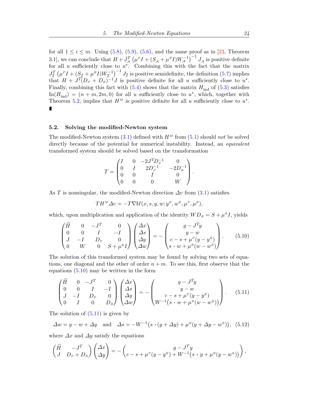<span id="page-24-4"></span>for all  $1 \leq i \leq m$ . Using [\(5.8\)](#page-23-0), [\(5.9\)](#page-23-1), [\(5.6\)](#page-23-2), and the same proof as in [\[23,](#page-35-16) Theorem 3.1], we can conclude that  $H + J_A^T (\mu^P I + (S_A + \mu^B I) W_A^{-1})^{-1} J_A$  is positive definite for all u sufficiently close to  $u^*$ . Combining this with the fact that the matrix  $J_{\mathcal{I}}^T(\mu^p I + (\mathcal{S}_{\mathcal{I}} + \mu^B I)W_{\mathcal{I}}^{-1})^{-1} J_{\mathcal{I}}$  is positive semidefinite, the definition [\(5.7\)](#page-23-3) implies that  $H + J^T(D_P + D_B)^{-1}J$  is positive definite for all u sufficiently close to  $u^*$ . Finally, combining this fact with  $(5.4)$  shows that the matrix  $H_{\text{ind}}$  of  $(5.3)$  satisfies  $\text{In}(H_{\text{ind}}) = (n+m, 2m, 0)$  for all u sufficiently close to  $u^*$ , which, together with Theorem [5.2,](#page-23-5) implies that  $H^M$  is positive definite for all u sufficiently close to  $u^*$ .

### <span id="page-24-0"></span>5.2. Solving the modified-Newton system

The modified-Newton system  $(3.1)$  defined with  $H<sup>M</sup>$  from  $(5.1)$  should not be solved directly because of the potential for numerical instability. Instead, an *equivalent* transformed system should be solved based on the transformation

$$
T = \begin{pmatrix} I & 0 & -2J^T D_P^{-1} & 0 \\ 0 & I & 2D_P^{-1} & -2D_B^{-1} \\ 0 & 0 & I & 0 \\ 0 & 0 & 0 & W \end{pmatrix}.
$$

As T is nonsingular, the modified-Newton direction  $\Delta v$  from [\(3.1\)](#page-6-1) satisfies

<span id="page-24-2"></span><span id="page-24-1"></span>
$$
TH^{M}\Delta v = -T\nabla M(x, s, y, w; y^{E}, w^{E}, \mu^{P}, \mu^{B}),
$$

which, upon multiplication and application of the identity  $WD_B = S + \mu^B I$ , yields

$$
\begin{pmatrix}\n\hat{H} & 0 & -J^T & 0 \\
0 & 0 & I & -I \\
J & -I & D_P & 0 \\
0 & W & 0 & S + \mu^B I\n\end{pmatrix}\n\begin{pmatrix}\n\Delta x \\
\Delta s \\
\Delta y \\
\Delta w\n\end{pmatrix} = -\n\begin{pmatrix}\ng - J^T y \\
y - w \\
c - s + \mu^P (y - y^E) \\
s \cdot w + \mu^B (w - w^E)\n\end{pmatrix}.
$$
\n(5.10)

The solution of this transformed system may be found by solving two sets of equations, one diagonal and the other of order  $n + m$ . To see this, first observe that the equations  $(5.10)$  may be written in the form

<span id="page-24-3"></span>
$$
\begin{pmatrix}\n\hat{H} & 0 & -J^T & 0 \\
0 & 0 & I & -I \\
J & -I & D_P & 0 \\
0 & I & 0 & D_B\n\end{pmatrix}\n\begin{pmatrix}\n\Delta x \\
\Delta s \\
\Delta y \\
\Delta w\n\end{pmatrix} = -\n\begin{pmatrix}\ng - J^T y \\
y - w \\
c - s + \mu^P (y - y^E) \\
W^{-1} (s \cdot w + \mu^B (w - w^E))\n\end{pmatrix}.
$$
\n(5.11)

The solution of  $(5.11)$  is given by

 $\Delta w = y - w + \Delta y$  and  $\Delta s = -W^{-1}(s \cdot (y + \Delta y) + \mu^B(y + \Delta y - w^E)),$  (5.12)

where  $\Delta x$  and  $\Delta y$  satisfy the equations

$$
\begin{pmatrix} \widehat{H} & -J^T \ J & D_P + D_B \end{pmatrix} \begin{pmatrix} \Delta x \\ \Delta y \end{pmatrix} = - \begin{pmatrix} g - J^T y \\ c - s + \mu^P (y - y^E) + W^{-1} (s \cdot y + \mu^B (y - w^E)) \end{pmatrix},
$$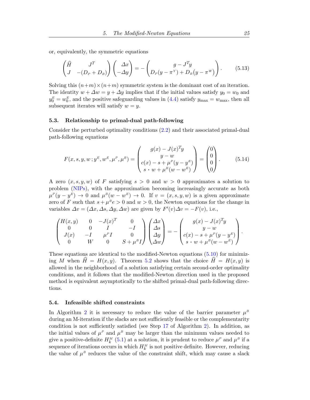or, equivalently, the symmetric equations

<span id="page-25-1"></span>
$$
\begin{pmatrix} \widehat{H} & J^T \\ J & -(D_P + D_B) \end{pmatrix} \begin{pmatrix} \Delta x \\ -\Delta y \end{pmatrix} = - \begin{pmatrix} g - J^T y \\ D_P (y - \pi^Y) + D_B (y - \pi^W) \end{pmatrix}.
$$
 (5.13)

Solving this  $(n+m)\times(n+m)$  symmetric system is the dominant cost of an iteration. The identity  $w + \Delta w = y + \Delta y$  implies that if the initial values satisfy  $y_0 = w_0$  and  $y_0^E = w_0^E$ , and the positive safeguarding values in [\(4.4\)](#page-14-1) satisfy  $y_{\text{max}} = w_{\text{max}}$ , then all subsequent iterates will satisfy  $w = y$ .

#### <span id="page-25-0"></span>5.3. Relationship to primal-dual path-following

Consider the perturbed optimality conditions [\(2.2\)](#page-5-0) and their associated primal-dual path-following equations

$$
F(x, s, y, w; y^{E}, w^{E}, \mu^{P}, \mu^{B}) = \begin{pmatrix} g(x) - J(x)^{T}y \\ y - w \\ c(x) - s + \mu^{P}(y - y^{E}) \\ s \cdot w + \mu^{B}(w - w^{E}) \end{pmatrix} = \begin{pmatrix} 0 \\ 0 \\ 0 \\ 0 \end{pmatrix}.
$$
 (5.14)

A zero  $(x, s, y, w)$  of F satisfying  $s > 0$  and  $w > 0$  approximates a solution to problem [\(NIPs\)](#page-4-0), with the approximation becoming increasingly accurate as both  $\mu^P(y - y^E) \to 0$  and  $\mu^B(w - w^E) \to 0$ . If  $v = (x, s, y, w)$  is a given approximate zero of F such that  $s + \mu^B e > 0$  and  $w > 0$ , the Newton equations for the change in variables  $\Delta v = (\Delta x, \Delta s, \Delta y, \Delta w)$  are given by  $F'(v) \Delta v = -F(v)$ , i.e.,

$$
\begin{pmatrix}\nH(x,y) & 0 & -J(x)^T & 0 \\
0 & 0 & I & -I \\
J(x) & -I & \mu^P I & 0 \\
0 & W & 0 & S + \mu^B I\n\end{pmatrix}\n\begin{pmatrix}\n\Delta x \\
\Delta s \\
\Delta y \\
\Delta w\n\end{pmatrix} = -\n\begin{pmatrix}\ng(x) - J(x)^T y \\
y - w \\
c(x) - s + \mu^P (y - y^E) \\
s \cdot w + \mu^B (w - w^E)\n\end{pmatrix}.
$$

These equations are identical to the modified-Newton equations [\(5.10\)](#page-24-1) for minimizing M when  $\widehat{H} = H(x, y)$ . Theorem [5.2](#page-23-5) shows that the choice  $\widehat{H} = H(x, y)$  is allowed in the neighborhood of a solution satisfying certain second-order optimality conditions, and it follows that the modified-Newton direction used in the proposed method is equivalent asymptotically to the shifted primal-dual path-following directions.

# <span id="page-25-2"></span>5.4. Infeasible shifted constraints

In Algorithm [2](#page-15-0) it is necessary to reduce the value of the barrier parameter  $\mu^B$ during an M-iteration if the slacks are not sufficiently feasible or the complementarity condition is not sufficiently satisfied (see Step [17](#page-15-0) of Algorithm [2\)](#page-15-0). In addition, as the initial values of  $\mu^P$  and  $\mu^B$  may be larger than the minimum values needed to give a positive-definite  $H_k^M$  [\(5.1\)](#page-22-1) at a solution, it is prudent to reduce  $\mu^P$  and  $\mu^B$  if a sequence of iterations occurs in which  $H_k^M$  is not positive definite. However, reducing the value of  $\mu^B$  reduces the value of the constraint shift, which may cause a slack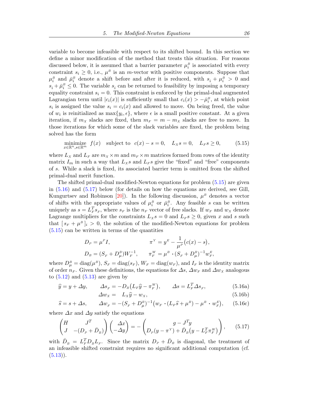<span id="page-26-3"></span>variable to become infeasible with respect to its shifted bound. In this section we define a minor modification of the method that treats this situation. For reasons discussed below, it is assumed that a barrier parameter  $\mu_i^B$  is associated with every constraint  $s_i \geq 0$ , i.e.,  $\mu^B$  is an *m*-vector with positive components. Suppose that  $\mu_i^B$  and  $\bar{\mu}_i^B$  denote a shift before and after it is reduced, with  $s_i + \mu_i^B > 0$  and  $s_i + \bar{\mu}_i^B \leq 0$ . The variable  $s_i$  can be returned to feasibility by imposing a temporary equality constraint  $s_i = 0$ . This constraint is enforced by the primal-dual augmented Lagrangian term until  $|c_i(x)|$  is sufficiently small that  $c_i(x) > -\overline{\mu}_i^B$ , at which point  $s_i$  is assigned the value  $s_i = c_i(x)$  and allowed to move. On being freed, the value of  $w_i$  is reinitialized as  $\max\{y_i, \epsilon\}$ , where  $\epsilon$  is a small positive constant. At a given iteration, if  $m_X$  slacks are fixed, then  $m_F = m - m_X$  slacks are free to move. In those iterations for which some of the slack variables are fixed, the problem being solved has the form

<span id="page-26-0"></span>
$$
\underset{x \in \mathbb{R}^n, s \in \mathbb{R}^m}{\text{minimize}} \quad f(x) \quad \text{subject to} \quad c(x) - s = 0, \quad L_X s = 0, \quad L_F s \ge 0,\tag{5.15}
$$

where  $L_X$  and  $L_F$  are  $m_X \times m$  and  $m_F \times m$  matrices formed from rows of the identity matrix  $I_m$  in such a way that  $L_X s$  and  $L_F s$  give the "fixed" and "free" components of s. While a slack is fixed, its associated barrier term is omitted from the shifted primal-dual merit function.

The shifted primal-dual modified-Newton equations for problem [\(5.15\)](#page-26-0) are given in [\(5.16\)](#page-26-1) and [\(5.17\)](#page-26-2) below (for details on how the equations are derived, see Gill, Kungurtsev and Robinson [\[20\]](#page-35-17)). In the following discussion,  $\mu^B$  denotes a vector of shifts with the appropriate values of  $\mu_i^B$  or  $\bar{\mu}_i^B$ . Any feasible s can be written uniquely as  $s = L_F^T s_F$ , where  $s_F$  is the  $n_F$  vector of free slacks. If  $w_F$  and  $w_X$  denote Lagrange multipliers for the constraints  $L_x s = 0$  and  $L_F s \geq 0$ , given x and s such that  $[s_F + \mu^B]_i > 0$ , the solution of the modified-Newton equations for problem [\(5.15\)](#page-26-0) can be written in terms of the quantities

$$
D_P = \mu^P I, \qquad \pi^Y = y^E - \frac{1}{\mu^P} (c(x) - s),
$$
  

$$
D_B = (S_F + D_\mu^B) W_F^{-1}, \qquad \pi_F^W = \mu^B \cdot (S_F + D_\mu^B)^{-1} w_F^E,
$$

where  $D_{\mu}^{B} = \text{diag}(\mu^{B}), S_{F} = \text{diag}(s_{F}), W_{F} = \text{diag}(w_{F}), \text{and } I_{F}$  is the identity matrix of order  $n_F$ . Given these definitions, the equations for  $\Delta s$ ,  $\Delta w_F$  and  $\Delta w_X$  analogous to  $(5.12)$  and  $(5.13)$  are given by

$$
\widehat{y} = y + \Delta y, \qquad \Delta s_F = -D_B \left( L_F \widehat{y} - \pi_F^W \right), \qquad \Delta s = L_F^T \Delta s_F,\tag{5.16a}
$$

<span id="page-26-2"></span><span id="page-26-1"></span>
$$
\Delta w_x = L_x \hat{y} - w_x,\tag{5.16b}
$$

$$
\hat{s} = s + \Delta s, \qquad \Delta w_F = -(S_F + D_\mu^B)^{-1} \left( w_F \cdot (L_F \hat{s} + \mu^B) - \mu^B \cdot w_F^E \right), \qquad (5.16c)
$$

where  $\Delta x$  and  $\Delta y$  satisfy the equations

$$
\begin{pmatrix} H & J^T \ J & -(D_P + \bar{D}_B) \end{pmatrix} \begin{pmatrix} \Delta x \\ -\Delta y \end{pmatrix} = - \begin{pmatrix} g - J^T y \\ D_P (y - \pi^Y) + \bar{D}_B (y - L_F^T \pi_F^W) \end{pmatrix}, \quad (5.17)
$$

with  $\bar{D}_B = L_F^T D_B L_F$ . Since the matrix  $D_P + \bar{D}_B$  is diagonal, the treatment of an infeasible shifted constraint requires no significant additional computation (cf.  $(5.13)$ .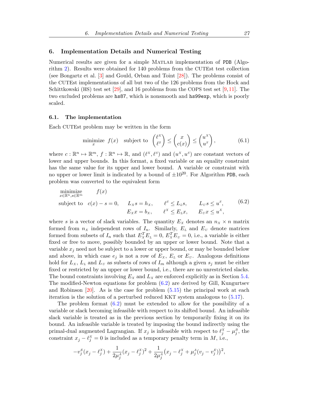### <span id="page-27-2"></span><span id="page-27-0"></span>6. Implementation Details and Numerical Testing

Numerical results are given for a simple Matlab implementation of PDB (Algorithm [2\)](#page-15-0). Results were obtained for 140 problems from the CUTEst test collection (see Bongartz et al. [\[3\]](#page-34-8) and Gould, Orban and Toint [\[28\]](#page-35-18)). The problems consist of the CUTEst implementations of all but two of the 126 problems from the Hock and Schittkowski (HS) test set  $[29]$ , and 16 problems from the COPS test set  $[9,11]$  $[9,11]$ . The two excluded problems are hs87, which is nonsmooth and hs99exp, which is poorly scaled.

#### 6.1. The implementation

Each CUTEst problem may be written in the form

<span id="page-27-1"></span>
$$
\text{minimize}_{x} \ f(x) \quad \text{subject to} \quad \begin{pmatrix} \ell^X \\ \ell^S \end{pmatrix} \le \begin{pmatrix} x \\ c(x) \end{pmatrix} \le \begin{pmatrix} u^X \\ u^S \end{pmatrix},\tag{6.1}
$$

where  $c: \mathbb{R}^n \mapsto \mathbb{R}^m$ ,  $f: \mathbb{R}^n \mapsto \mathbb{R}$ , and  $(\ell^X, \ell^S)$  and  $(u^X, u^S)$  are constant vectors of lower and upper bounds. In this format, a fixed variable or an equality constraint has the same value for its upper and lower bound. A variable or constraint with no upper or lower limit is indicated by a bound of  $\pm 10^{20}$ . For Algorithm PDB, each problem was converted to the equivalent form

minimize  
\nsubject to 
$$
f(x)
$$
\nsubject to 
$$
c(x) - s = 0, \quad L_x s = h_x, \quad \ell^s \le L_L s, \quad L_U s \le u^s,
$$
\n
$$
E_x x = b_x, \quad \ell^x \le E_L x, \quad E_U x \le u^x,
$$
\n(6.2)

where s is a vector of slack variables. The quantity  $E_X$  denotes an  $n_X \times n$  matrix formed from  $n_x$  independent rows of  $I_n$ . Similarly,  $E_L$  and  $E_U$  denote matrices formed from subsets of  $I_n$  such that  $E_x^T E_L = 0$ ,  $E_x^T E_y = 0$ , i.e., a variable is either fixed or free to move, possibly bounded by an upper or lower bound. Note that a variable  $x_j$  need not be subject to a lower or upper bound, or may be bounded below and above, in which case  $e_j$  is not a row of  $E_X$ ,  $E_L$  or  $E_U$ . Analogous definitions hold for  $L_X$ ,  $L_L$  and  $L_U$  as subsets of rows of  $I_m$  although a given  $s_j$  must be either fixed or restricted by an upper or lower bound, i.e., there are no unrestricted slacks. The bound constraints involving  $E_X$  and  $L_X$  are enforced explicitly as in Section [5.4.](#page-25-2) The modified-Newton equations for problem [\(6.2\)](#page-27-1) are derived by Gill, Kungurtsev and Robinson  $[20]$ . As is the case for problem  $(5.15)$  the principal work at each iteration is the solution of a perturbed reduced KKT system analogous to [\(5.17\)](#page-26-2).

The problem format [\(6.2\)](#page-27-1) must be extended to allow for the possibility of a variable or slack becoming infeasible with respect to its shifted bound. An infeasible slack variable is treated as in the previous section by temporarily fixing it on its bound. An infeasible variable is treated by imposing the bound indirectly using the primal-dual augmented Lagrangian. If  $x_j$  is infeasible with respect to  $\ell_j^X - \mu_j^B$ , the constraint  $x_j - \ell_j^X = 0$  is included as a temporary penalty term in  $M$ , i.e.,

$$
-v_j^{\rm E}(x_j-\ell_j^{\rm X})+\frac{1}{2\mu_j^{\rm A}}(x_j-\ell_j^{\rm X})^2+\frac{1}{2\mu_j^{\rm A}}\big(x_j-\ell_j^{\rm X}+\mu_j^{\rm A}(v_j-v_j^{\rm E})\big)^2,
$$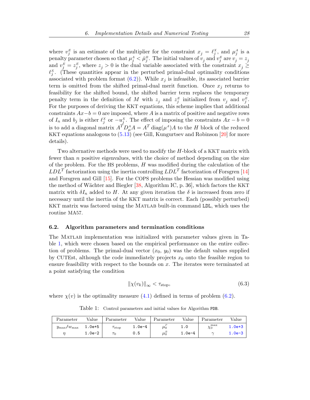<span id="page-28-2"></span>where  $v_j^E$  is an estimate of the multiplier for the constraint  $x_j = \ell_j^X$ , and  $\mu_j^A$  is a penalty parameter chosen so that  $\mu_j^A < \bar{\mu}_j^B$ . The initial values of  $v_j$  and  $v_j^E$  are  $v_j = z_j$ and  $v_j^E = z_j^E$ , where  $z_j > 0$  is the dual variable associated with the constraint  $x_j \geq$  $\ell_j^X$ . (These quantities appear in the perturbed primal-dual optimality conditions associated with problem format  $(6.2)$ ). While  $x_j$  is infeasible, its associated barrier term is omitted from the shifted primal-dual merit function. Once  $x_i$  returns to feasibility for the shifted bound, the shifted barrier term replaces the temporary penalty term in the definition of M with  $z_j$  and  $z_j^E$  initialized from  $v_j$  and  $v_j^E$ . For the purposes of deriving the KKT equations, this scheme implies that additional constraints  $Ax - b = 0$  are imposed, where A is a matrix of positive and negative rows of  $I_n$  and  $b_j$  is either  $\ell_j^X$  or  $-u_j^X$ . The effect of imposing the constraints  $Ax - b = 0$ is to add a diagonal matrix  $A^T D^A_\mu A = A^T \text{diag}(\mu^A) A$  to the H block of the reduced KKT equations analogous to [\(5.13\)](#page-25-1) (see Gill, Kungurtsev and Robinson [\[20\]](#page-35-17) for more details).

Two alternative methods were used to modify the H-block of a KKT matrix with fewer than  $n$  positive eigenvalues, with the choice of method depending on the size of the problem. For the HS problems,  $H$  was modified during the calculation of the  $LDL<sup>T</sup>$  factorization using the inertia controlling  $LDL<sup>T</sup>$  factorization of Forsgren [\[14\]](#page-35-13) and Forsgren and Gill [\[15\]](#page-35-9). For the COPS problems the Hessian was modified using the method of Wächter and Biegler [\[38,](#page-36-4) Algorithm IC, p. 36], which factors the KKT matrix with  $\delta I_n$  added to H. At any given iteration the  $\delta$  is increased from zero if necessary until the inertia of the KKT matrix is correct. Each (possibly perturbed) KKT matrix was factored using the Matlab built-in command LDL, which uses the routine MA57.

# 6.2. Algorithm parameters and termination conditions

The Matlab implementation was initialized with parameter values given in Table [1,](#page-28-0) which were chosen based on the empirical performance on the entire collection of problems. The primal-dual vector  $(x_0, y_0)$  was the default values supplied by CUTEst, although the code immediately projects  $x_0$  onto the feasible region to ensure feasibility with respect to the bounds on  $x$ . The iterates were terminated at a point satisfying the condition

<span id="page-28-1"></span>
$$
\|\chi(v_k)\|_{\infty} < \tau_{\text{stop}},\tag{6.3}
$$

<span id="page-28-0"></span>where  $\chi(v)$  is the optimality measure [\(4.1\)](#page-13-2) defined in terms of problem [\(6.2\)](#page-27-1).

Table 1: Control parameters and initial values for Algorithm PDB.

| Parameter                 | Value      | Parameter         | Value    | Parameter | Value    | Parameter          | Value      |
|---------------------------|------------|-------------------|----------|-----------|----------|--------------------|------------|
| $y_{\rm max}/w_{\rm max}$ | $1.0e + 5$ | $\tau_{\rm stop}$ | $1.0e-4$ | $\mu_0^*$ | 1.0      | $\chi_0^{\rm max}$ | $1.0e + 3$ |
|                           | $1.0e-2$   | $\tau_0$          | 0.5      | $\mu_0^-$ | $1.0e-4$ | $\sim$             | $1.0e-3$   |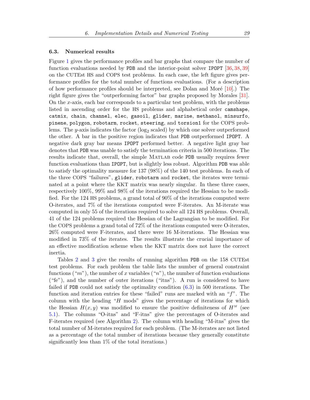#### <span id="page-29-1"></span>6.3. Numerical results

Figure [1](#page-30-0) gives the performance profiles and bar graphs that compare the number of function evaluations needed by PDB and the interior-point solver IPOPT [\[36,](#page-36-5) [38,](#page-36-4) [39\]](#page-36-6) on the CUTEst HS and COPS test problems. In each case, the left figure gives performance profiles for the total number of functions evaluations. (For a description of how performance profiles should be interpreted, see Dolan and Moré  $[10]$ .) The right figure gives the "outperforming factor" bar graphs proposed by Morales [\[31\]](#page-35-20). On the x-axis, each bar corresponds to a particular test problem, with the problems listed in ascending order for the HS problems and alphabetical order camshape, catmix, chain, channel, elec, gasoil, glider, marine, methanol, minsurfo, pinene, polygon, robotarm, rocket, steering, and torsion1 for the COPS problems. The *y*-axis indicates the factor  $(\log_2 \text{ scaled})$  by which one solver outperformed the other. A bar in the positive region indicates that PDB outperformed IPOPT. A negative dark gray bar means IPOPT performed better. A negative light gray bar denotes that PDB was unable to satisfy the termination criteria in 500 iterations. The results indicate that, overall, the simple Matlab code PDB usually requires fewer function evaluations than IPOPT, but is slightly less robust. Algorithm PDB was able to satisfy the optimality measure for 137 (98%) of the 140 test problems. In each of the three COPS "failures", glider, robotarm and rocket, the iterates were terminated at a point where the KKT matrix was nearly singular. In these three cases, respectively 100%, 99% and 98% of the iterations required the Hessian to be modified. For the 124 HS problems, a grand total of 90% of the iterations computed were O-iterates, and 7% of the iterations computed were F-iterates. An M-iterate was computed in only 55 of the iterations required to solve all 124 HS problems. Overall, 41 of the 124 problems required the Hessian of the Lagrangian to be modified. For the COPS problems a grand total of 72% of the iterations computed were O-iterates, 26% computed were F-iterates, and there were 16 M-iterations. The Hessian was modified in 73% of the iterates. The results illustrate the crucial importance of an effective modification scheme when the KKT matrix does not have the correct inertia.

<span id="page-29-0"></span>Tables [2](#page-29-0) and [3](#page-33-0) give the results of running algorithm PDB on the 158 CUTEst test problems. For each problem the table lists the number of general constraint functions  $("m")$ , the number of x variables  $("n")$ , the number of function evaluations ("fe"), and the number of outer iterations ("itns"). A run is considered to have failed if PDB could not satisfy the optimality condition [\(6.3\)](#page-28-1) in 500 iterations. The function and iteration entries for these "failed" runs are marked with an " $f$ ". The column with the heading " $H$  mods" gives the percentage of iterations for which the Hessian  $H(x, y)$  was modified to ensure the positive definiteness of  $H^M$  (see [5.1\)](#page-22-1). The columns "O-itns" and "F-itns" give the percentages of O-iterates and F-iterates required (see Algorithm [2\)](#page-15-0). The column with heading "M-itns" gives the total number of M-iterates required for each problem. (The M-iterates are not listed as a percentage of the total number of iterations because they generally constitute significantly less than 1% of the total iterations.)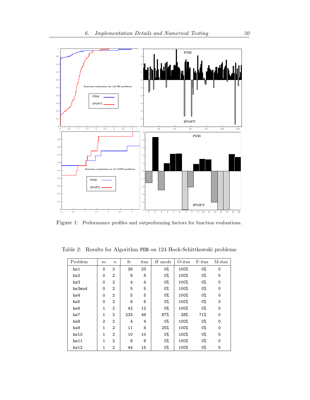<span id="page-30-0"></span>

Figure 1: Performance profiles and outperforming factors for function evaluations.

Table 2: Results for Algorithm PDB on 124 Hock-Schittkowski problems

| Problem | $\,m$        | $\boldsymbol{n}$ | fe  | itns | $H$ mods | $O{\text -}itns$ | F-itns | $M\text{-itns}$ |
|---------|--------------|------------------|-----|------|----------|------------------|--------|-----------------|
| hs1     | $\Omega$     | $\overline{2}$   | 26  | 23   | 0%       | 100%             | $0\%$  | 0               |
| hs2     | $\Omega$     | $\overline{2}$   | 8   | 8    | $0\%$    | 100%             | 0%     | $\Omega$        |
| hs3     | $\mathbf 0$  | $\overline{2}$   | 4   | 4    | 0%       | 100%             | 0%     | $\mathbf 0$     |
| hs3mod  | $\Omega$     | $\overline{2}$   | 5   | 5    | 0%       | 100%             | 0%     | $\mathbf 0$     |
| hs4     | $\Omega$     | $\overline{2}$   | 5   | 5    | 0%       | 100%             | 0%     | 0               |
| hs5     | $\mathbf 0$  | $\mathbf{2}$     | 6   | 6    | $0\%$    | 100%             | 0%     | $\mathbf 0$     |
| hs6     | $\mathbf{1}$ | $\overline{2}$   | 42  | 12   | $0\%$    | 100%             | 0%     | $\Omega$        |
| hs7     | $\mathbf{1}$ | $\overline{2}$   | 233 | 49   | 87%      | 28%              | 71%    | 0               |
| hs8     | $\mathbf{2}$ | $\overline{2}$   | 4   | 4    | $0\%$    | 100%             | 0%     | $\Omega$        |
| hs9     | 1            | $\mathcal{D}$    | 11  | 4    | 25%      | 100%             | 0%     | $\mathbf 0$     |
| hs10    | $\mathbf{1}$ | $\overline{2}$   | 10  | 10   | 0%       | 100%             | 0%     | $\mathbf 0$     |
| hs11    | $\mathbf{1}$ | $\overline{2}$   | 8   | 8    | $0\%$    | 100%             | 0%     | $\Omega$        |
| hs12    | 1            | 2                | 44  | 15   | 0%       | 100%             | 0%     | 0               |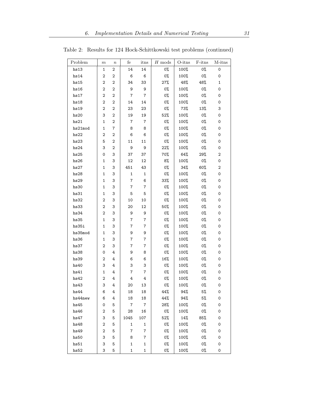| Problem | $_{m}$         | $\boldsymbol{n}$ | fe             | itns           | ${\cal H}$ mods | $O{\text{-itns}}$ | F-itns | M-itns              |
|---------|----------------|------------------|----------------|----------------|-----------------|-------------------|--------|---------------------|
| hs13    | 1              | $\overline{2}$   | 14             | 14             | 0%              | 100%              | 0%     | $\mathsf{O}\xspace$ |
| hs14    | 2              | 2                | 6              | 6              | 0%              | 100%              | О%     | 0                   |
| hs15    | 2              | $\mathbf 2$      | 34             | 33             | 27%             | 48%               | 48%    | 1                   |
| hs16    | 2              | $\overline{2}$   | 9              | 9              | 0%              | 100%              | 0%     | 0                   |
| hs17    | 2              | 2                | $\overline{7}$ | $\overline{7}$ | 0%              | 100%              | 0%     | 0                   |
| hs18    | 2              | $\mathbf 2$      | 14             | 14             | 0%              | 100%              | 0%     | 0                   |
| hs19    | 2              | 2                | 23             | 23             | 0%              | 73%               | 13%    | 3                   |
| hs20    | 3              | 2                | 19             | 19             | 52%             | 100%              | 0%     | 0                   |
| hs21    | 1              | 2                | 7              | $\overline{7}$ | 0%              | 100%              | 0%     | 0                   |
| hs21mod | 1              | $\overline{7}$   | 8              | 8              | 0%              | 100%              | 0%     | $\mathsf{O}\xspace$ |
| hs22    | 2              | $\overline{2}$   | 6              | 6              | 0%              | 100%              | 0%     | 0                   |
| hs23    | 5              | $\overline{2}$   | 11             | 11             | 0%              | 100%              | 0%     | 0                   |
| hs24    | 3              | 2                | 9              | 9              | 22%             | 100%              | 0%     | 0                   |
| hs25    | 0              | 3                | 37             | 37             | 70%             | 64%               | 29%    | 2                   |
| hs26    | 1              | 3                | 12             | 12             | 8%              | 100%              | 0%     | 0                   |
| hs27    | 1              | 3                | 451            | 43             | 0%              | 34%               | 60%    | 2                   |
| hs28    | 1              | 3                | $\mathbf 1$    | $\mathbf{1}$   | 0%              | 100%              | 0%     | 0                   |
| hs29    | 1              | 3                | $\overline{7}$ | 6              | 33%             | 100%              | 0%     | 0                   |
| hs30    | 1              | 3                | $\overline{7}$ | $\bf 7$        | 0%              | 100%              | 0%     | 0                   |
| hs31    | 1              | 3                | 5              | 5              | 0%              | 100%              | 0%     | 0                   |
| hs32    | 2              | 3                | 10             | 10             | 0%              | 100%              | 0%     | 0                   |
| hs33    | 2              | 3                | 20             | 12             | 50%             | 100%              | 0%     | 0                   |
| hs34    | 2              | 3                | 9              | 9              | 0%              | 100%              | 0%     | 0                   |
| hs35    | 1              | 3                | $\overline{7}$ | $\overline{7}$ | 0%              | 100%              | 0%     | 0                   |
| hs35i   | 1              | 3                | 7              | 7              | 0%              | 100%              | 0%     | 0                   |
| hs35mod | 1              | 3                | 9              | 9              | 0%              | 100%              | 0%     | 0                   |
| hs36    | 1              | 3                | 7              | $\overline{7}$ | 0%              | 100%              | 0%     | 0                   |
| hs37    | 2              | 3                | 7              | $\overline{7}$ | 0%              | 100%              | 0%     | 0                   |
| hs38    | 0              | 4                | 9              | 8              | 0%              | 100%              | 0%     | 0                   |
| hs39    | 2              | 4                | 6              | 6              | 16%             | 100%              | 0%     | 0                   |
| hs40    | 3              | 4                | 3              | 3              | 0%              | 100%              | 0%     | 0                   |
| hs41    | 1              | 4                | $\overline{7}$ | 7              | 0%              | 100%              | 0%     | 0                   |
| hs42    | $\overline{2}$ | 4                | 4              | 4              | 0%              | 100%              | 0%     | 0                   |
| hs43    | 3              | 4                | 20             | 13             | 0%              | 100%              | 0%     | 0                   |
| hs44    | 6              | 4                | 18             | 18             | 44%             | 94%               | 5%     | 0                   |
| hs44new | 6              | 4                | 18             | 18             | 44%             | 94%               | 5%     | 0                   |
| hs45    | 0              | 5                | -7             | $\overline{7}$ | 28%             | 100%              | 0%     | 0                   |
| hs46    | 2              | 5                | 28             | 16             | 0%              | 100%              | 0%     | 0                   |
| hs47    | 3              | 5                | 1045           | 107            | 52%             | 14%               | 85%    | 0                   |
| hs48    | $\overline{2}$ | 5                | 1              | $\mathbf{1}$   | 0%              | 100%              | 0%     | 0                   |
| hs49    | 2              | 5                | $\overline{7}$ | $\overline{7}$ | 0%              | 100%              | 0%     | 0                   |
| hs50    | 3              | 5                | 8              | $\overline{7}$ | 0%              | 100%              | 0%     | 0                   |
| hs51    | 3              | 5                | $\mathbf{1}$   | $\mathbf{1}$   | 0%              | 100%              | 0%     | 0                   |
| hs52    | 3              | 5                | $\mathbf{1}$   | $\mathbf{1}$   | 0%              | 100%              | 0%     | 0                   |

Table 2: Results for 124 Hock-Schittkowski test problems (continued)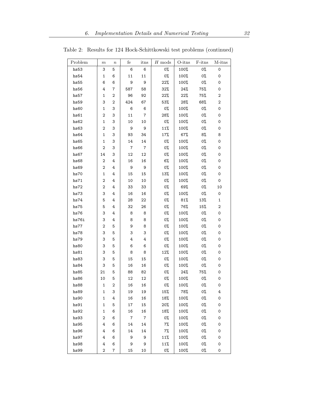| Problem | $_{m}$         | $\, n$                  | fe             | itns             | $H$ mods | O-itns | F-itns | M-itns              |
|---------|----------------|-------------------------|----------------|------------------|----------|--------|--------|---------------------|
| hs53    | 3              | 5                       | 6              | 6                | 0%       | 100%   | О%     | $\mathsf{O}\xspace$ |
| hs54    | 1              | 6                       | 11             | 11               | $0\%$    | 100%   | 0%     | 0                   |
| hs55    | 6              | 6                       | 9              | 9                | 22%      | 100%   | 0%     | 0                   |
| hs56    | 4              | 7                       | 587            | 58               | 32%      | 24%    | 75%    | 0                   |
| hs57    | 1              | 2                       | 96             | 92               | 22%      | 22%    | 75%    | 2                   |
| hs59    | 3              | 2                       | 424            | 67               | 53%      | 28%    | 68%    | $\boldsymbol{2}$    |
| hs60    | 1              | 3                       | 6              | 6                | 0%       | 100%   | 0%     | 0                   |
| hs61    | 2              | 3                       | 11             | $\overline{7}$   | 28%      | 100%   | 0%     | 0                   |
| hs62    | 1              | 3                       | 10             | 10               | 0%       | 100%   | 0%     | 0                   |
| hs63    | 2              | 3                       | 9              | 9                | 11%      | 100%   | 0%     | 0                   |
| hs64    | 1              | 3                       | 93             | 34               | 17%      | 67%    | 8%     | 8                   |
| hs65    | 1              | 3                       | 14             | 14               | 0%       | 100%   | 0%     | 0                   |
| hs66    | 2              | 3                       | 7              | $\boldsymbol{7}$ | 0%       | 100%   | 0%     | 0                   |
| hs67    | 14             | 3                       | 12             | 12               | 0%       | 100%   | 0%     | 0                   |
| hs68    | 2              | 4                       | 16             | 16               | 6%       | 100%   | 0%     | 0                   |
| hs69    | 2              | 4                       | 9              | 9                | 0%       | 100%   | 0%     | 0                   |
| hs70    | 1              | 4                       | 15             | 15               | 13%      | 100%   | 0%     | 0                   |
| hs71    | 2              | 4                       | 10             | 10               | 0%       | 100%   | 0%     | 0                   |
| hs72    | 2              | 4                       | 33             | 33               | 0%       | 69%    | 0%     | 10                  |
| hs73    | 3              | 4                       | 16             | 16               | 0%       | 100%   | 0%     | 0                   |
| hs74    | 5              | 4                       | 28             | 22               | 0%       | 81%    | 13%    | $\mathbf{1}$        |
| hs75    | 5              | 4                       | 32             | 26               | 0%       | 76%    | 15%    | $\boldsymbol{2}$    |
| hs76    | 3              | 4                       | 8              | 8                | 0%       | 100%   | 0%     | 0                   |
| hs76i   | 3              | 4                       | 8              | 8                | 0%       | 100%   | 0%     | 0                   |
| hs77    | 2              | 5                       | 9              | 8                | 0%       | 100%   | 0%     | 0                   |
| hs78    | 3              | 5                       | 3              | 3                | 0%       | 100%   | 0%     | 0                   |
| hs79    | 3              | 5                       | 4              | 4                | 0%       | 100%   | 0%     | 0                   |
| hs80    | 3              | 5                       | 6              | 6                | 0%       | 100%   | 0%     | 0                   |
| hs81    | 3              | 5                       | 8              | 8                | 12%      | 100%   | 0%     | 0                   |
| hs83    | 3              | 5                       | 15             | 15               | 0%       | 100%   | 0%     | 0                   |
| hs84    | 3              | 5                       | 16             | 16               | 0%       | 100%   | 0%     | 0                   |
| hs85    | 21             | 5                       | 88             | 82               | 0%       | 24%    | 75%    | 0                   |
| hs86    | 10             | 5                       | 12             | 12               | 0%       | 100%   | 0%     | 0                   |
| hs88    | $\mathbf{1}$   | $\overline{\mathbf{c}}$ | 16             | 16               | 0%       | 100%   | 0%     | 0                   |
| hs89    | 1              | 3                       | 19             | 19               | 15%      | 78%    | 0%     | 4                   |
| hs90    | 1              | 4                       | 16             | 16               | 18%      | 100%   | 0%     | 0                   |
| hs91    | $\mathbf{1}$   | 5                       | 17             | 15               | 20%      | 100%   | 0%     | 0                   |
| hs92    | $\mathbf{1}$   | 6                       | 16             | 16               | 18%      | 100%   | 0%     | 0                   |
| hs93    | $\overline{2}$ | 6                       | $\overline{7}$ | $\overline{7}$   | 0%       | 100%   | 0%     | 0                   |
| hs95    | 4              | 6                       | 14             | 14               | $7\%$    | 100%   | 0%     | 0                   |
| hs96    | 4              | 6                       | 14             | 14               | $7\%$    | 100%   | 0%     | 0                   |
| hs97    | 4              | 6                       | 9              | 9                | 11%      | 100%   | 0%     | 0                   |
| hs98    | 4              | 6                       | 9              | 9                | 11%      | 100%   | 0%     | 0                   |
| hs99    | $\mathbf 2$    | $\overline{7}$          | 15             | 10               | 0%       | 100%   | 0%     | 0                   |

Table 2: Results for 124 Hock-Schittkowski test problems (continued)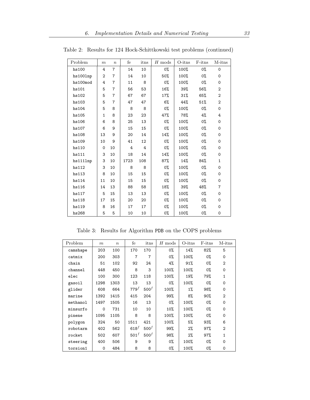| Problem  | m              | $\boldsymbol{n}$ | fe   | itns | $H \text{ mod } s$ | $O{\text{-itns}}$ | $F\text{-itns}$ | M-itns         |
|----------|----------------|------------------|------|------|--------------------|-------------------|-----------------|----------------|
| hs100    | 4              | $\overline{7}$   | 14   | 10   | 0%                 | 100%              | 0%              | $\mathbf 0$    |
| hs1001np | $\overline{2}$ | $\overline{7}$   | 14   | 10   | 50%                | 100%              | 0%              | 0              |
| hs100mod | 4              | $\overline{7}$   | 11   | 8    | 0%                 | 100%              | 0%              | $\mathsf{o}$   |
| hs101    | 5              | $\overline{7}$   | 56   | 53   | 16%                | 39%               | 56%             | $\overline{c}$ |
| hs102    | 5              | $\overline{7}$   | 67   | 67   | 17%                | $31\%$            | 65%             | $\mathbf{2}$   |
| hs103    | 5              | $\overline{7}$   | 47   | 47   | $6\%$              | 44%               | 51%             | 2              |
| hs104    | 5              | 8                | 8    | 8    | 0%                 | 100%              | 0%              | 0              |
| hs105    | $\mathbf{1}$   | 8                | 23   | 23   | 47%                | 78%               | 4%              | 4              |
| hs106    | 6              | 8                | 25   | 13   | $0\%$              | 100%              | 0%              | 0              |
| hs107    | 6              | 9                | 15   | 15   | 0%                 | 100%              | 0%              | $\mathsf{o}$   |
| hs108    | 13             | 9                | 20   | 14   | 14%                | 100%              | 0%              | 0              |
| hs109    | 10             | 9                | 41   | 12   | 0%                 | 100%              | 0%              | 0              |
| hs110    | 0              | 10               | 4    | 4    | 0%                 | 100%              | 0%              | 0              |
| hs111    | 3              | 10               | 18   | 14   | 14%                | 100%              | 0%              | 0              |
| hs1111np | 3              | 10               | 1723 | 108  | 87%                | 14%               | 84%             | $\mathbf{1}$   |
| hs112    | 3              | 10               | 8    | 8    | $0\%$              | 100%              | $0\%$           | 0              |
| hs113    | 8              | 10               | 15   | 15   | 0%                 | 100%              | 0%              | 0              |
| hs114    | 11             | 10               | 15   | 15   | $0\%$              | 100%              | $0\%$           | 0              |
| hs116    | 14             | 13               | 88   | 58   | 18%                | 39%               | 48%             | $\overline{7}$ |
| hs117    | 5              | 15               | 13   | 13   | 0%                 | 100%              | 0%              | 0              |
| hs118    | 17             | 15               | 20   | 20   | 0%                 | 100%              | 0%              | 0              |
| hs119    | 8              | 16               | 17   | 17   | 0%                 | 100%              | 0%              | 0              |
| hs268    | 5              | 5                | 10   | 10   | 0%                 | 100%              | 0%              | 0              |

Table 2: Results for 124 Hock-Schittkowski test problems (continued)

Table 3: Results for Algorithm PDB on the COPS problems

<span id="page-33-0"></span>

| Problem  | $\boldsymbol{m}$ | $\boldsymbol{n}$ | fe             | itns             | $H$ mods | $O{\text{-itns}}$ | F-itns | $M\text{-itns}$ |
|----------|------------------|------------------|----------------|------------------|----------|-------------------|--------|-----------------|
| camshape | 203              | 100              | 170            | 170              | 0%       | 14%               | $82\%$ | 5               |
| catmix   | 200              | 303              | $\overline{7}$ | $\overline{7}$   | 0%       | 100%              | 0%     | $\mathbf 0$     |
| chain    | 51               | 102              | 92             | 24               | 4%       | 91%               | 0%     | $\overline{2}$  |
| channel  | 448              | 450              | 8              | 3                | 100%     | 100%              | 0%     | $\Omega$        |
| elec     | 100              | 300              | 123            | 118              | 100%     | 19%               | 79%    | $\mathbf{1}$    |
| gasoil   | 1298             | 1303             | 13             | 13               | 0%       | 100%              | 0%     | $\mathbf 0$     |
| glider   | 608              | 664              | $779^f$        | 500 <sup>f</sup> | 100%     | 1%                | 98%    | $\mathbf 0$     |
| marine   | 1392             | 1415             | 415            | 204              | 99%      | 8%                | 90%    | $\overline{2}$  |
| methanol | 1497             | 1505             | 16             | 13               | 0%       | 100%              | 0%     | $\mathbf 0$     |
| minsurfo | 0                | 731              | 10             | 10               | 10%      | 100%              | 0%     | $\Omega$        |
| pinene   | 1095             | 1105             | 8              | 8                | 100%     | 100%              | 0%     | $\Omega$        |
| polygon  | 324              | 50               | 1511           | 421              | 100%     | 5%                | 93%    | 6               |
| robotarm | 402              | 562              | $618^f$        | 500 <sup>f</sup> | 99%      | $2\%$             | 97%    | $\overline{2}$  |
| rocket   | 502              | 607              | $501^f$        | 500 <sup>f</sup> | 98%      | $2\%$             | 97%    | $\mathbf{1}$    |
| steering | 400              | 506              | 9              | 9                | 0%       | 100%              | 0%     | $\Omega$        |
| torsion1 | 0                | 484              | 8              | 8                | 0%       | 100%              | 0%     | $\mathbf 0$     |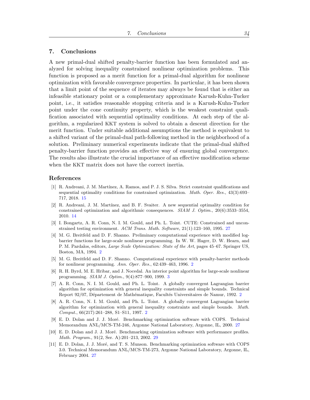# <span id="page-34-5"></span>7. Conclusions

A new primal-dual shifted penalty-barrier function has been formulated and analyzed for solving inequality constrained nonlinear optimization problems. This function is proposed as a merit function for a primal-dual algorithm for nonlinear optimization with favorable convergence properties. In particular, it has been shown that a limit point of the sequence of iterates may always be found that is either an infeasible stationary point or a complementary approximate Karush-Kuhn-Tucker point, i.e., it satisfies reasonable stopping criteria and is a Karush-Kuhn-Tucker point under the cone continuity property, which is the weakest constraint qualification associated with sequential optimality conditions. At each step of the algorithm, a regularized KKT system is solved to obtain a descent direction for the merit function. Under suitable additional assumptions the method is equivalent to a shifted variant of the primal-dual path-following method in the neighborhood of a solution. Preliminary numerical experiments indicate that the primal-dual shifted penalty-barrier function provides an effective way of ensuring global convergence. The results also illustrate the crucial importance of an effective modification scheme when the KKT matrix does not have the correct inertia.

# References

- <span id="page-34-7"></span>[1] R. Andreani, J. M. Martínez, A. Ramos, and P. J. S. Silva. Strict constraint qualifications and sequential optimality conditions for constrained optimization. Math. Oper. Res., 43(3):693– 717, 2018. [15](#page-15-3)
- <span id="page-34-6"></span>[2] R. Andreani, J. M. Martínez, and B. F. Svaiter. A new sequential optimality condition for constrained optimization and algorithmic consequences.  $SIAM$  J. Optim., 20(6):3533–3554, 2010. [14](#page-14-13)
- <span id="page-34-8"></span>[3] I. Bongartz, A. R. Conn, N. I. M. Gould, and Ph. L. Toint. CUTE: Constrained and unconstrained testing environment. ACM Trans. Math. Software, 21(1):123–160, 1995. [27](#page-27-2)
- <span id="page-34-2"></span>[4] M. G. Breitfeld and D. F. Shanno. Preliminary computational experience with modified logbarrier functions for large-scale nonlinear programming. In W. W. Hager, D. W. Hearn, and P. M. Pardalos, editors, Large Scale Optimization: State of the Art, pages 45–67. Springer US, Boston, MA, 1994. [2](#page-2-1)
- <span id="page-34-3"></span>[5] M. G. Breitfeld and D. F. Shanno. Computational experience with penalty-barrier methods for nonlinear programming. Ann. Oper. Res., 62:439–463, 1996. [2](#page-2-1)
- <span id="page-34-4"></span>[6] R. H. Byrd, M. E. Hribar, and J. Nocedal. An interior point algorithm for large-scale nonlinear programming. SIAM J. Optim., 9(4):877–900, 1999. [3](#page-3-0)
- <span id="page-34-0"></span>[7] A. R. Conn, N. I. M. Gould, and Ph. L. Toint. A globally convergent Lagrangian barrier algorithm for optimization with general inequality constraints and simple bounds. Technical Report 9[2](#page-2-1)/07, Département de Mathématique, Facultés Universitaires de Namur, 1992. 2
- <span id="page-34-1"></span>[8] A. R. Conn, N. I. M. Gould, and Ph. L. Toint. A globally convergent Lagrangian barrier algorithm for optimization with general inequality constraints and simple bounds. Math. Comput., 66(217):261–288, S1–S11, 1997. [2](#page-2-1)
- <span id="page-34-9"></span>[9] E. D. Dolan and J. J. Moré. Benchmarking optimization software with COPS. Technical Memorandum ANL/MCS-TM-246, Argonne National Laboratory, Argonne, IL, 2000. [27](#page-27-2)
- <span id="page-34-11"></span>[10] E. D. Dolan and J. J. Moré. Benchmarking optimization software with performance profiles. Math. Program., 91(2, Ser. A):201–213, 2002. [29](#page-29-1)
- <span id="page-34-10"></span>[11] E. D. Dolan, J. J. Moré, and T. S. Munson. Benchmarking optimization software with COPS 3.0. Technical Memorandum ANL/MCS-TM-273, Argonne National Laboratory, Argonne, IL, February 2004. [27](#page-27-2)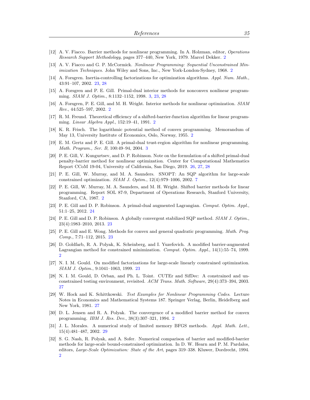- <span id="page-35-2"></span>[12] A. V. Fiacco. Barrier methods for nonlinear programming. In A. Holzman, editor, Operations Research Support Methodology, pages 377–440, New York, 1979. Marcel Dekker. [2](#page-2-1)
- <span id="page-35-1"></span>[13] A. V. Fiacco and G. P. McCormick. Nonlinear Programming: Sequential Unconstrained Min-imization Techniques. John Wiley and Sons, Inc., New York-London-Sydney, 1968. [2](#page-2-1)
- <span id="page-35-13"></span>[14] A. Forsgren. Inertia-controlling factorizations for optimization algorithms. Appl. Num. Math., 43:91–107, 2002. [23,](#page-23-6) [28](#page-28-2)
- <span id="page-35-9"></span>[15] A. Forsgren and P. E. Gill. Primal-dual interior methods for nonconvex nonlinear programming. SIAM J. Optim., 8:1132–1152, 1998. [3,](#page-3-0) [23,](#page-23-6) [28](#page-28-2)
- <span id="page-35-8"></span>[16] A. Forsgren, P. E. Gill, and M. H. Wright. Interior methods for nonlinear optimization. SIAM Rev., 44:525–597, 2002. [2](#page-2-1)
- <span id="page-35-4"></span>[17] R. M. Freund. Theoretical efficiency of a shifted-barrier-function algorithm for linear programming. Linear Algebra Appl., 152:19–41, 1991. [2](#page-2-1)
- <span id="page-35-0"></span>[18] K. R. Frisch. The logarithmic potential method of convex programming. Memorandum of May 13, University Institute of Economics, Oslo, Norway, 1955. [2](#page-2-1)
- <span id="page-35-10"></span>[19] E. M. Gertz and P. E. Gill. A primal-dual trust-region algorithm for nonlinear programming. Math. Program., Ser. B, 100:49–94, 2004. [3](#page-3-0)
- <span id="page-35-17"></span>[20] P. E. Gill, V. Kungurtsev, and D. P. Robinson. Note on the formulation of a shifted primal-dual penalty-barrier method for nonlinear optimization. Center for Computational Mathematics Report CCoM 19-04, University of California, San Diego, 2019. [26,](#page-26-3) [27,](#page-27-2) [28](#page-28-2)
- <span id="page-35-11"></span>[21] P. E. Gill, W. Murray, and M. A. Saunders. SNOPT: An SQP algorithm for large-scale constrained optimization. SIAM J. Optim., 12(4):979–1006, 2002. [7](#page-7-6)
- <span id="page-35-3"></span>[22] P. E. Gill, W. Murray, M. A. Saunders, and M. H. Wright. Shifted barrier methods for linear programming. Report SOL 87-9, Department of Operations Research, Stanford University, Stanford, CA, 1987. [2](#page-2-1)
- <span id="page-35-16"></span>[23] P. E. Gill and D. P. Robinson. A primal-dual augmented Lagrangian. Comput. Optim. Appl., 51:1–25, 2012. [24](#page-24-4)
- <span id="page-35-12"></span>[24] P. E. Gill and D. P. Robinson. A globally convergent stabilized SQP method. SIAM J. Optim., 23(4):1983–2010, 2013. [23](#page-23-6)
- <span id="page-35-15"></span>[25] P. E. Gill and E. Wong. Methods for convex and general quadratic programming. Math. Prog. Comp., 7:71–112, 2015. [23](#page-23-6)
- <span id="page-35-7"></span>[26] D. Goldfarb, R. A. Polyak, K. Scheinberg, and I. Yuzefovich. A modified barrier-augmented Lagrangian method for constrained minimization. Comput. Optim. Appl., 14(1):55–74, 1999.  $\Omega$
- <span id="page-35-14"></span>[27] N. I. M. Gould. On modified factorizations for large-scale linearly constrained optimization. SIAM J. Optim., 9:1041–1063, 1999. [23](#page-23-6)
- <span id="page-35-18"></span>[28] N. I. M. Gould, D. Orban, and Ph. L. Toint. CUTEr and SifDec: A constrained and unconstrained testing environment, revisited. ACM Trans. Math. Software, 29(4):373–394, 2003. [27](#page-27-2)
- <span id="page-35-19"></span>[29] W. Hock and K. Schittkowski. Test Examples for Nonlinear Programming Codes. Lecture Notes in Economics and Mathematical Systems 187. Springer Verlag, Berlin, Heidelberg and New York, 1981. [27](#page-27-2)
- <span id="page-35-5"></span>[30] D. L. Jensen and R. A. Polyak. The convergence of a modified barrier method for convex programming. IBM J. Res. Dev., 38(3):307–321, 1994. [2](#page-2-1)
- <span id="page-35-20"></span>[31] J. L. Morales. A numerical study of limited memory BFGS methods. Appl. Math. Lett., 15(4):481–487, 2002. [29](#page-29-1)
- <span id="page-35-6"></span>[32] S. G. Nash, R. Polyak, and A. Sofer. Numerical comparison of barrier and modified-barrier methods for large-scale bound-constrained optimization. In D. W. Hearn and P. M. Pardalos, editors, Large-Scale Optimization: State of the Art, pages 319–338. Kluwer, Dordrecht, 1994. [2](#page-2-1)